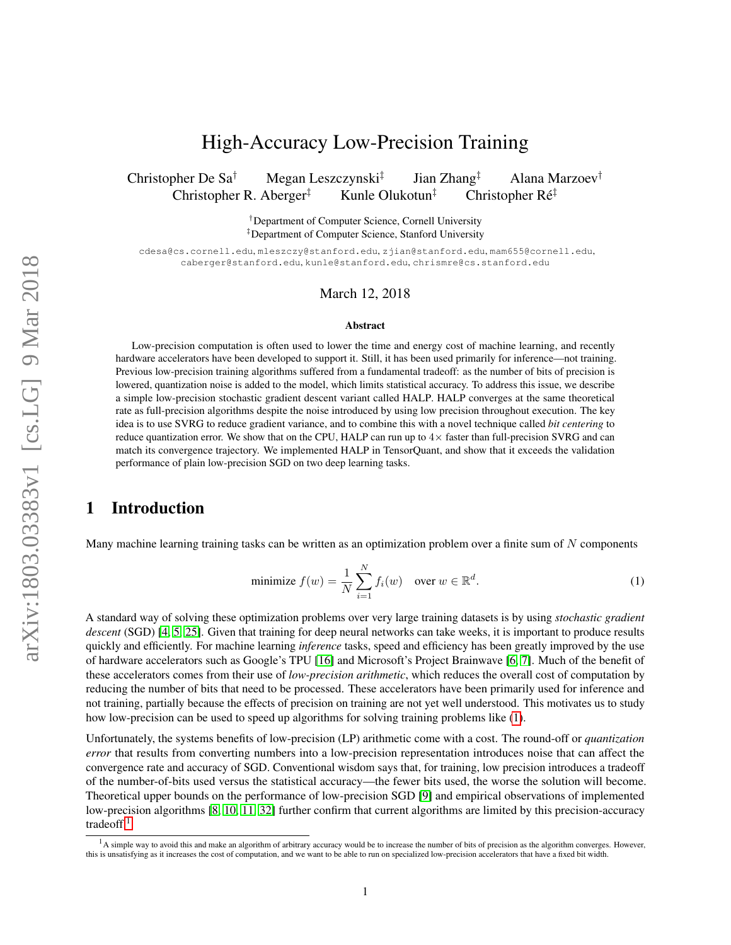# High-Accuracy Low-Precision Training

Christopher De Sa<sup>†</sup> Megan Leszczynski<sup>‡</sup> Jian Zhang‡ Alana Marzoev† Christopher R. Aberger<sup>‡</sup> Kunle Olukotun<sup>‡</sup> Christopher Ré<sup>‡</sup>

> †Department of Computer Science, Cornell University ‡Department of Computer Science, Stanford University

cdesa@cs.cornell.edu, mleszczy@stanford.edu, zjian@stanford.edu, mam655@cornell.edu, caberger@stanford.edu, kunle@stanford.edu, chrismre@cs.stanford.edu

### March 12, 2018

#### Abstract

Low-precision computation is often used to lower the time and energy cost of machine learning, and recently hardware accelerators have been developed to support it. Still, it has been used primarily for inference—not training. Previous low-precision training algorithms suffered from a fundamental tradeoff: as the number of bits of precision is lowered, quantization noise is added to the model, which limits statistical accuracy. To address this issue, we describe a simple low-precision stochastic gradient descent variant called HALP. HALP converges at the same theoretical rate as full-precision algorithms despite the noise introduced by using low precision throughout execution. The key idea is to use SVRG to reduce gradient variance, and to combine this with a novel technique called *bit centering* to reduce quantization error. We show that on the CPU, HALP can run up to  $4\times$  faster than full-precision SVRG and can match its convergence trajectory. We implemented HALP in TensorQuant, and show that it exceeds the validation performance of plain low-precision SGD on two deep learning tasks.

## 1 Introduction

Many machine learning training tasks can be written as an optimization problem over a finite sum of  $N$  components

<span id="page-0-0"></span>minimize 
$$
f(w) = \frac{1}{N} \sum_{i=1}^{N} f_i(w)
$$
 over  $w \in \mathbb{R}^d$ . (1)

A standard way of solving these optimization problems over very large training datasets is by using *stochastic gradient descent* (SGD) [\[4,](#page-10-0) [5,](#page-10-1) [25\]](#page-11-0). Given that training for deep neural networks can take weeks, it is important to produce results quickly and efficiently. For machine learning *inference* tasks, speed and efficiency has been greatly improved by the use of hardware accelerators such as Google's TPU [\[16\]](#page-11-1) and Microsoft's Project Brainwave [\[6,](#page-10-2) [7\]](#page-10-3). Much of the benefit of these accelerators comes from their use of *low-precision arithmetic*, which reduces the overall cost of computation by reducing the number of bits that need to be processed. These accelerators have been primarily used for inference and not training, partially because the effects of precision on training are not yet well understood. This motivates us to study how low-precision can be used to speed up algorithms for solving training problems like [\(1\)](#page-0-0).

Unfortunately, the systems benefits of low-precision (LP) arithmetic come with a cost. The round-off or *quantization error* that results from converting numbers into a low-precision representation introduces noise that can affect the convergence rate and accuracy of SGD. Conventional wisdom says that, for training, low precision introduces a tradeoff of the number-of-bits used versus the statistical accuracy—the fewer bits used, the worse the solution will become. Theoretical upper bounds on the performance of low-precision SGD [\[9\]](#page-10-4) and empirical observations of implemented low-precision algorithms [\[8,](#page-10-5) [10,](#page-10-6) [11,](#page-10-7) [32\]](#page-12-0) further confirm that current algorithms are limited by this precision-accuracy tradeoff.[1](#page-0-1)

<span id="page-0-1"></span> $<sup>1</sup>A$  simple way to avoid this and make an algorithm of arbitrary accuracy would be to increase the number of bits of precision as the algorithm converges. However,</sup> this is unsatisfying as it increases the cost of computation, and we want to be able to run on specialized low-precision accelerators that have a fixed bit width.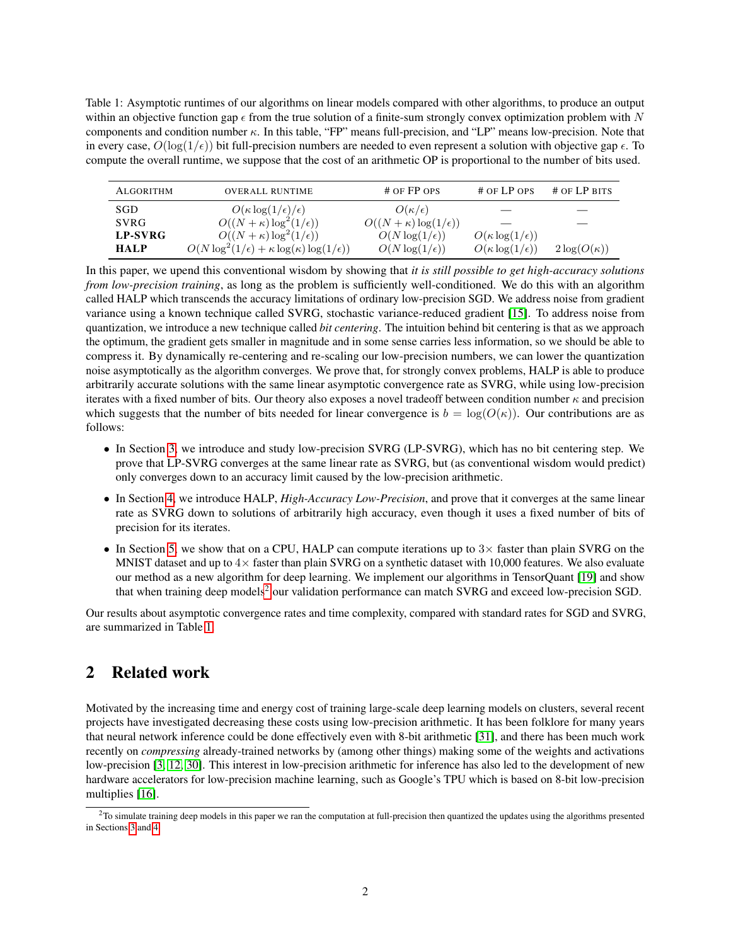<span id="page-1-1"></span>Table 1: Asymptotic runtimes of our algorithms on linear models compared with other algorithms, to produce an output within an objective function gap  $\epsilon$  from the true solution of a finite-sum strongly convex optimization problem with N components and condition number κ. In this table, "FP" means full-precision, and "LP" means low-precision. Note that in every case,  $O(\log(1/\epsilon))$  bit full-precision numbers are needed to even represent a solution with objective gap  $\epsilon$ . To compute the overall runtime, we suppose that the cost of an arithmetic OP is proportional to the number of bits used.

| <b>ALGORITHM</b> | <b>OVERALL RUNTIME</b>                                           | # OF FP OPS                        | # OF LP OPS                  | $#$ OF LP BITS     |
|------------------|------------------------------------------------------------------|------------------------------------|------------------------------|--------------------|
| SGD              | $O(\kappa \log(1/\epsilon)/\epsilon)$                            | $O(\kappa/\epsilon)$               |                              |                    |
| <b>SVRG</b>      | $O((N + \kappa) \log^2(1/\epsilon))$                             | $O((N + \kappa) \log(1/\epsilon))$ |                              |                    |
| <b>LP-SVRG</b>   | $O((N + \kappa) \log^2(1/\epsilon))$                             | $O(N \log(1/\epsilon))$            | $O(\kappa \log(1/\epsilon))$ |                    |
| <b>HALP</b>      | $O(N \log^2(1/\epsilon) + \kappa \log(\kappa) \log(1/\epsilon))$ | $O(N \log(1/\epsilon))$            | $O(\kappa \log(1/\epsilon))$ | $2\log(O(\kappa))$ |

In this paper, we upend this conventional wisdom by showing that *it is still possible to get high-accuracy solutions from low-precision training*, as long as the problem is sufficiently well-conditioned. We do this with an algorithm called HALP which transcends the accuracy limitations of ordinary low-precision SGD. We address noise from gradient variance using a known technique called SVRG, stochastic variance-reduced gradient [\[15\]](#page-11-2). To address noise from quantization, we introduce a new technique called *bit centering*. The intuition behind bit centering is that as we approach the optimum, the gradient gets smaller in magnitude and in some sense carries less information, so we should be able to compress it. By dynamically re-centering and re-scaling our low-precision numbers, we can lower the quantization noise asymptotically as the algorithm converges. We prove that, for strongly convex problems, HALP is able to produce arbitrarily accurate solutions with the same linear asymptotic convergence rate as SVRG, while using low-precision iterates with a fixed number of bits. Our theory also exposes a novel tradeoff between condition number  $\kappa$  and precision which suggests that the number of bits needed for linear convergence is  $b = \log(O(\kappa))$ . Our contributions are as follows:

- In Section [3,](#page-2-0) we introduce and study low-precision SVRG (LP-SVRG), which has no bit centering step. We prove that LP-SVRG converges at the same linear rate as SVRG, but (as conventional wisdom would predict) only converges down to an accuracy limit caused by the low-precision arithmetic.
- In Section [4,](#page-5-0) we introduce HALP, *High-Accuracy Low-Precision*, and prove that it converges at the same linear rate as SVRG down to solutions of arbitrarily high accuracy, even though it uses a fixed number of bits of precision for its iterates.
- In Section [5,](#page-7-0) we show that on a CPU, HALP can compute iterations up to  $3\times$  faster than plain SVRG on the MNIST dataset and up to  $4\times$  faster than plain SVRG on a synthetic dataset with 10,000 features. We also evaluate our method as a new algorithm for deep learning. We implement our algorithms in TensorQuant [\[19\]](#page-11-3) and show that when training deep models<sup>[2](#page-1-0)</sup> our validation performance can match SVRG and exceed low-precision SGD.

Our results about asymptotic convergence rates and time complexity, compared with standard rates for SGD and SVRG, are summarized in Table [1.](#page-1-1)

## 2 Related work

Motivated by the increasing time and energy cost of training large-scale deep learning models on clusters, several recent projects have investigated decreasing these costs using low-precision arithmetic. It has been folklore for many years that neural network inference could be done effectively even with 8-bit arithmetic [\[31\]](#page-12-1), and there has been much work recently on *compressing* already-trained networks by (among other things) making some of the weights and activations low-precision [\[3,](#page-10-8) [12,](#page-11-4) [30\]](#page-11-5). This interest in low-precision arithmetic for inference has also led to the development of new hardware accelerators for low-precision machine learning, such as Google's TPU which is based on 8-bit low-precision multiplies [\[16\]](#page-11-1).

<span id="page-1-0"></span> $2$ To simulate training deep models in this paper we ran the computation at full-precision then quantized the updates using the algorithms presented in Sections [3](#page-2-0) and [4.](#page-5-0)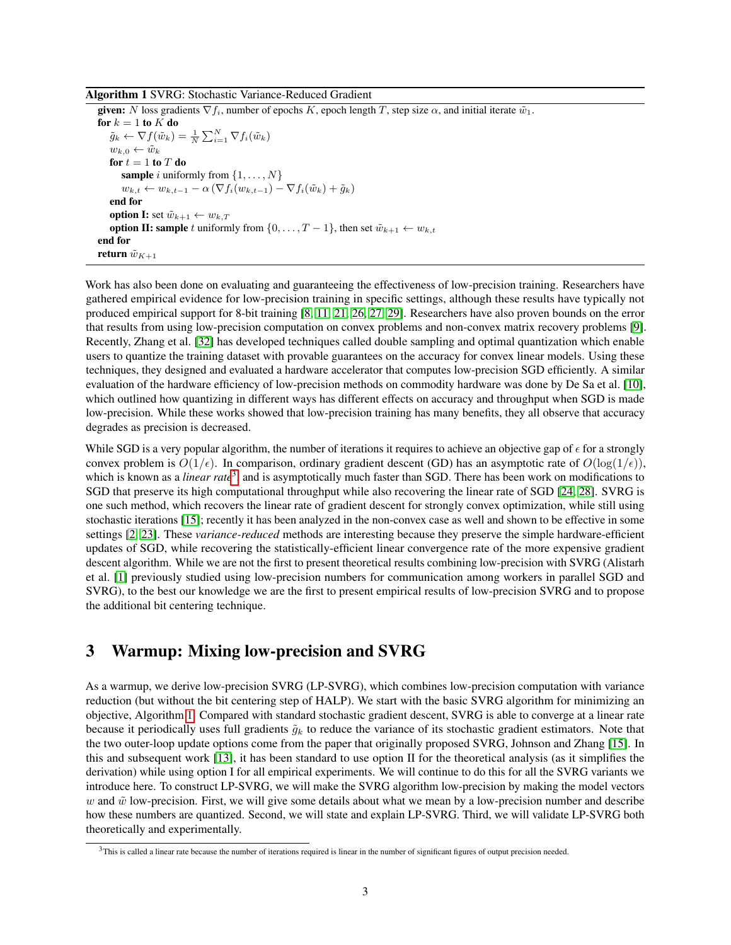#### <span id="page-2-2"></span>Algorithm 1 SVRG: Stochastic Variance-Reduced Gradient

given: N loss gradients  $\nabla f_i$ , number of epochs K, epoch length T, step size  $\alpha$ , and initial iterate  $\tilde{w}_1$ . for  $k = 1$  to  $K$  do  $\tilde{g}_k \leftarrow \nabla f(\tilde{w}_k) = \frac{1}{N} \sum_{i=1}^N \nabla f_i(\tilde{w}_k)$  $w_{k,0} \leftarrow \tilde{w}_k$ for  $t = 1$  to  $T$  do **sample** i uniformly from  $\{1, \ldots, N\}$  $w_{k,t} \leftarrow w_{k,t-1} - \alpha \left( \nabla f_i(w_{k,t-1}) - \nabla f_i(\tilde{w}_k) + \tilde{g}_k \right)$ end for **option I:** set  $\tilde{w}_{k+1} \leftarrow w_{k,T}$ **option II: sample** t uniformly from  $\{0, \ldots, T-1\}$ , then set  $\tilde{w}_{k+1} \leftarrow w_{k,t}$ end for return  $\tilde{w}_{K+1}$ 

Work has also been done on evaluating and guaranteeing the effectiveness of low-precision training. Researchers have gathered empirical evidence for low-precision training in specific settings, although these results have typically not produced empirical support for 8-bit training [\[8,](#page-10-5) [11,](#page-10-7) [21,](#page-11-6) [26,](#page-11-7) [27,](#page-11-8) [29\]](#page-11-9). Researchers have also proven bounds on the error that results from using low-precision computation on convex problems and non-convex matrix recovery problems [\[9\]](#page-10-4). Recently, Zhang et al. [\[32\]](#page-12-0) has developed techniques called double sampling and optimal quantization which enable users to quantize the training dataset with provable guarantees on the accuracy for convex linear models. Using these techniques, they designed and evaluated a hardware accelerator that computes low-precision SGD efficiently. A similar evaluation of the hardware efficiency of low-precision methods on commodity hardware was done by De Sa et al. [\[10\]](#page-10-6), which outlined how quantizing in different ways has different effects on accuracy and throughput when SGD is made low-precision. While these works showed that low-precision training has many benefits, they all observe that accuracy degrades as precision is decreased.

While SGD is a very popular algorithm, the number of iterations it requires to achieve an objective gap of  $\epsilon$  for a strongly convex problem is  $O(1/\epsilon)$ . In comparison, ordinary gradient descent (GD) has an asymptotic rate of  $O(\log(1/\epsilon))$ , which is known as a *linear rate*[3](#page-2-1) , and is asymptotically much faster than SGD. There has been work on modifications to SGD that preserve its high computational throughput while also recovering the linear rate of SGD [\[24,](#page-11-10) [28\]](#page-11-11). SVRG is one such method, which recovers the linear rate of gradient descent for strongly convex optimization, while still using stochastic iterations [\[15\]](#page-11-2); recently it has been analyzed in the non-convex case as well and shown to be effective in some settings [\[2,](#page-10-9) [23\]](#page-11-12). These *variance-reduced* methods are interesting because they preserve the simple hardware-efficient updates of SGD, while recovering the statistically-efficient linear convergence rate of the more expensive gradient descent algorithm. While we are not the first to present theoretical results combining low-precision with SVRG (Alistarh et al. [\[1\]](#page-10-10) previously studied using low-precision numbers for communication among workers in parallel SGD and SVRG), to the best our knowledge we are the first to present empirical results of low-precision SVRG and to propose the additional bit centering technique.

## <span id="page-2-0"></span>3 Warmup: Mixing low-precision and SVRG

As a warmup, we derive low-precision SVRG (LP-SVRG), which combines low-precision computation with variance reduction (but without the bit centering step of HALP). We start with the basic SVRG algorithm for minimizing an objective, Algorithm [1.](#page-2-2) Compared with standard stochastic gradient descent, SVRG is able to converge at a linear rate because it periodically uses full gradients  $\tilde{q}_k$  to reduce the variance of its stochastic gradient estimators. Note that the two outer-loop update options come from the paper that originally proposed SVRG, Johnson and Zhang [\[15\]](#page-11-2). In this and subsequent work [\[13\]](#page-11-13), it has been standard to use option II for the theoretical analysis (as it simplifies the derivation) while using option I for all empirical experiments. We will continue to do this for all the SVRG variants we introduce here. To construct LP-SVRG, we will make the SVRG algorithm low-precision by making the model vectors w and  $\tilde{w}$  low-precision. First, we will give some details about what we mean by a low-precision number and describe how these numbers are quantized. Second, we will state and explain LP-SVRG. Third, we will validate LP-SVRG both theoretically and experimentally.

<span id="page-2-1"></span> $3$ This is called a linear rate because the number of iterations required is linear in the number of significant figures of output precision needed.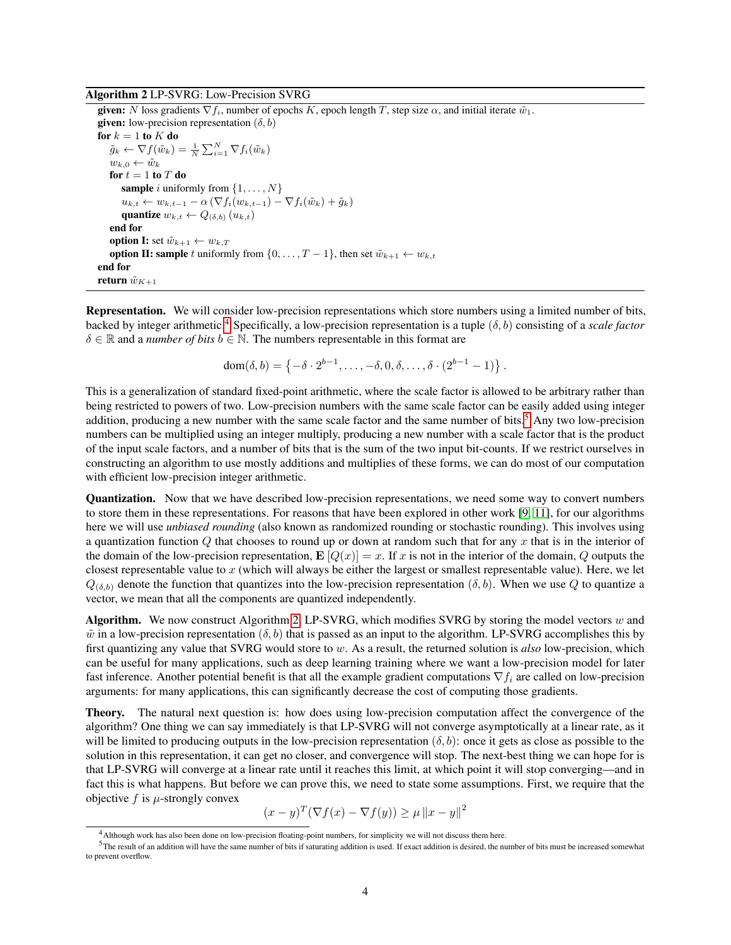#### <span id="page-3-2"></span>Algorithm 2 LP-SVRG: Low-Precision SVRG

given: N loss gradients  $\nabla f_i$ , number of epochs K, epoch length T, step size  $\alpha$ , and initial iterate  $\tilde{w}_1$ . given: low-precision representation  $(\delta, b)$ for  $k = 1$  to  $K$  do  $\tilde{g}_k \leftarrow \nabla f(\tilde{w}_k) = \frac{1}{N} \sum_{i=1}^N \nabla f_i(\tilde{w}_k)$  $w_{k,0} \leftarrow \tilde{w}_k$ for  $t = 1$  to  $T$  do **sample** i uniformly from  $\{1, \ldots, N\}$  $u_{k,t} \leftarrow w_{k,t-1} - \alpha \left( \nabla f_i(w_{k,t-1}) - \nabla f_i(\tilde{w}_k) + \tilde{g}_k \right)$ quantize  $w_{k,t} \leftarrow Q_{(\delta,b)}(u_{k,t})$ end for **option I:** set  $\tilde{w}_{k+1} \leftarrow w_{k,T}$ **option II: sample** t uniformly from  $\{0, \ldots, T-1\}$ , then set  $\tilde{w}_{k+1} \leftarrow w_{k,t}$ end for return  $\tilde{w}_{K+1}$ 

Representation. We will consider low-precision representations which store numbers using a limited number of bits, backed by integer arithmetic.[4](#page-3-0) Specifically, a low-precision representation is a tuple (δ, b) consisting of a *scale factor*  $\delta \in \mathbb{R}$  and a *number of bits*  $b \in \mathbb{N}$ . The numbers representable in this format are

$$
dom(\delta, b) = \{-\delta \cdot 2^{b-1}, \dots, -\delta, 0, \delta, \dots, \delta \cdot (2^{b-1} - 1)\}.
$$

This is a generalization of standard fixed-point arithmetic, where the scale factor is allowed to be arbitrary rather than being restricted to powers of two. Low-precision numbers with the same scale factor can be easily added using integer addition, producing a new number with the same scale factor and the same number of bits.<sup>[5](#page-3-1)</sup> Any two low-precision numbers can be multiplied using an integer multiply, producing a new number with a scale factor that is the product of the input scale factors, and a number of bits that is the sum of the two input bit-counts. If we restrict ourselves in constructing an algorithm to use mostly additions and multiplies of these forms, we can do most of our computation with efficient low-precision integer arithmetic.

Quantization. Now that we have described low-precision representations, we need some way to convert numbers to store them in these representations. For reasons that have been explored in other work [\[9,](#page-10-4) [11\]](#page-10-7), for our algorithms here we will use *unbiased rounding* (also known as randomized rounding or stochastic rounding). This involves using a quantization function Q that chooses to round up or down at random such that for any x that is in the interior of the domain of the low-precision representation,  $\mathbf{E}[Q(x)] = x$ . If x is not in the interior of the domain, Q outputs the closest representable value to x (which will always be either the largest or smallest representable value). Here, we let  $Q_{(\delta,b)}$  denote the function that quantizes into the low-precision representation  $(\delta,b)$ . When we use Q to quantize a vector, we mean that all the components are quantized independently.

Algorithm. We now construct Algorithm [2,](#page-3-2) LP-SVRG, which modifies SVRG by storing the model vectors w and  $\tilde{w}$  in a low-precision representation ( $\delta$ ,  $b$ ) that is passed as an input to the algorithm. LP-SVRG accomplishes this by first quantizing any value that SVRG would store to w. As a result, the returned solution is *also* low-precision, which can be useful for many applications, such as deep learning training where we want a low-precision model for later fast inference. Another potential benefit is that all the example gradient computations  $\nabla f_i$  are called on low-precision arguments: for many applications, this can significantly decrease the cost of computing those gradients.

Theory. The natural next question is: how does using low-precision computation affect the convergence of the algorithm? One thing we can say immediately is that LP-SVRG will not converge asymptotically at a linear rate, as it will be limited to producing outputs in the low-precision representation  $(\delta, b)$ : once it gets as close as possible to the solution in this representation, it can get no closer, and convergence will stop. The next-best thing we can hope for is that LP-SVRG will converge at a linear rate until it reaches this limit, at which point it will stop converging—and in fact this is what happens. But before we can prove this, we need to state some assumptions. First, we require that the objective  $f$  is  $\mu$ -strongly convex

$$
(x - y)^T (\nabla f(x) - \nabla f(y)) \ge \mu ||x - y||^2
$$

<span id="page-3-1"></span><span id="page-3-0"></span><sup>4</sup>Although work has also been done on low-precision floating-point numbers, for simplicity we will not discuss them here.

 $5$ The result of an addition will have the same number of bits if saturating addition is used. If exact addition is desired, the number of bits must be increased somewhat to prevent overflow.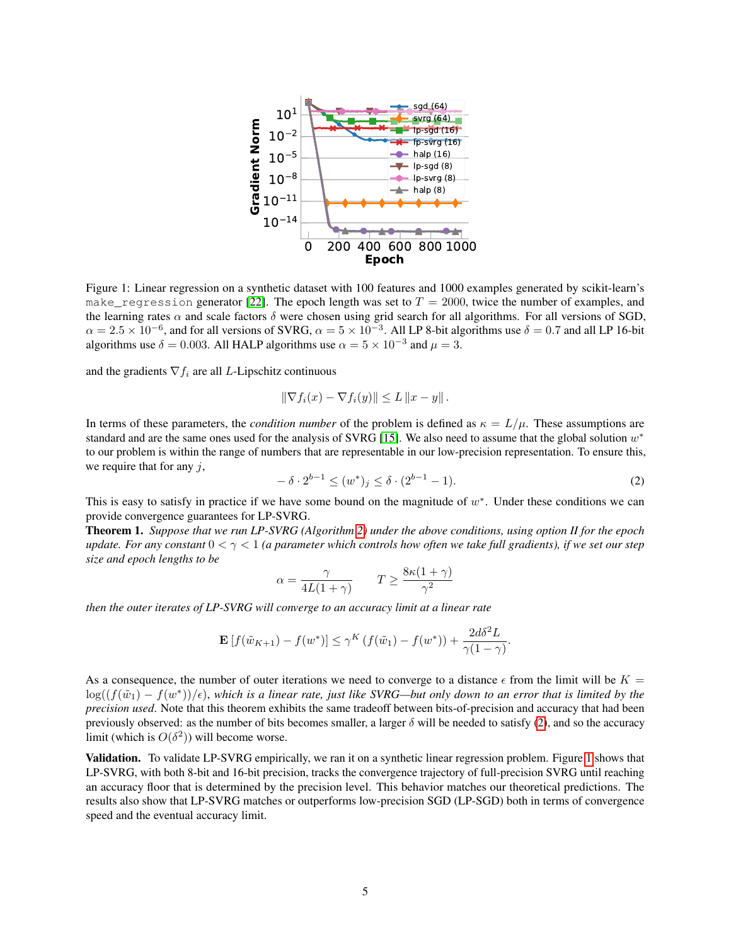

<span id="page-4-1"></span>Figure 1: Linear regression on a synthetic dataset with 100 features and 1000 examples generated by scikit-learn's make\_regression generator [\[22\]](#page-11-14). The epoch length was set to  $T = 2000$ , twice the number of examples, and the learning rates  $\alpha$  and scale factors  $\delta$  were chosen using grid search for all algorithms. For all versions of SGD,  $\alpha = 2.5 \times 10^{-6}$ , and for all versions of SVRG,  $\alpha = 5 \times 10^{-3}$ . All LP 8-bit algorithms use  $\delta = 0.7$  and all LP 16-bit algorithms use  $\delta = 0.003$ . All HALP algorithms use  $\alpha = 5 \times 10^{-3}$  and  $\mu = 3$ .

and the gradients  $\nabla f_i$  are all *L*-Lipschitz continuous

$$
\|\nabla f_i(x) - \nabla f_i(y)\| \le L \|x - y\|.
$$

In terms of these parameters, the *condition number* of the problem is defined as  $\kappa = L/\mu$ . These assumptions are standard and are the same ones used for the analysis of SVRG [\[15\]](#page-11-2). We also need to assume that the global solution  $w^*$ to our problem is within the range of numbers that are representable in our low-precision representation. To ensure this, we require that for any  $j$ ,

<span id="page-4-0"></span>
$$
- \delta \cdot 2^{b-1} \le (w^*)_j \le \delta \cdot (2^{b-1} - 1). \tag{2}
$$

This is easy to satisfy in practice if we have some bound on the magnitude of  $w^*$ . Under these conditions we can provide convergence guarantees for LP-SVRG.

<span id="page-4-2"></span>Theorem 1. *Suppose that we run LP-SVRG (Algorithm [2\)](#page-3-2) under the above conditions, using option II for the epoch update. For any constant* 0 < γ < 1 *(a parameter which controls how often we take full gradients), if we set our step size and epoch lengths to be*

$$
\alpha = \frac{\gamma}{4L(1+\gamma)} \qquad T \ge \frac{8\kappa(1+\gamma)}{\gamma^2}
$$

*then the outer iterates of LP-SVRG will converge to an accuracy limit at a linear rate*

$$
\mathbf{E}\left[f(\tilde{w}_{K+1}) - f(w^*)\right] \le \gamma^K \left(f(\tilde{w}_1) - f(w^*)\right) + \frac{2d\delta^2 L}{\gamma(1-\gamma)}.
$$

As a consequence, the number of outer iterations we need to converge to a distance  $\epsilon$  from the limit will be  $K =$  $log((f(\tilde w_1)-f(w^*))/\epsilon)$ , which is a linear rate, just like SVRG—but only down to an error that is limited by the *precision used*. Note that this theorem exhibits the same tradeoff between bits-of-precision and accuracy that had been previously observed: as the number of bits becomes smaller, a larger  $\delta$  will be needed to satisfy [\(2\)](#page-4-0), and so the accuracy limit (which is  $O(\delta^2)$ ) will become worse.

Validation. To validate LP-SVRG empirically, we ran it on a synthetic linear regression problem. Figure [1](#page-4-1) shows that LP-SVRG, with both 8-bit and 16-bit precision, tracks the convergence trajectory of full-precision SVRG until reaching an accuracy floor that is determined by the precision level. This behavior matches our theoretical predictions. The results also show that LP-SVRG matches or outperforms low-precision SGD (LP-SGD) both in terms of convergence speed and the eventual accuracy limit.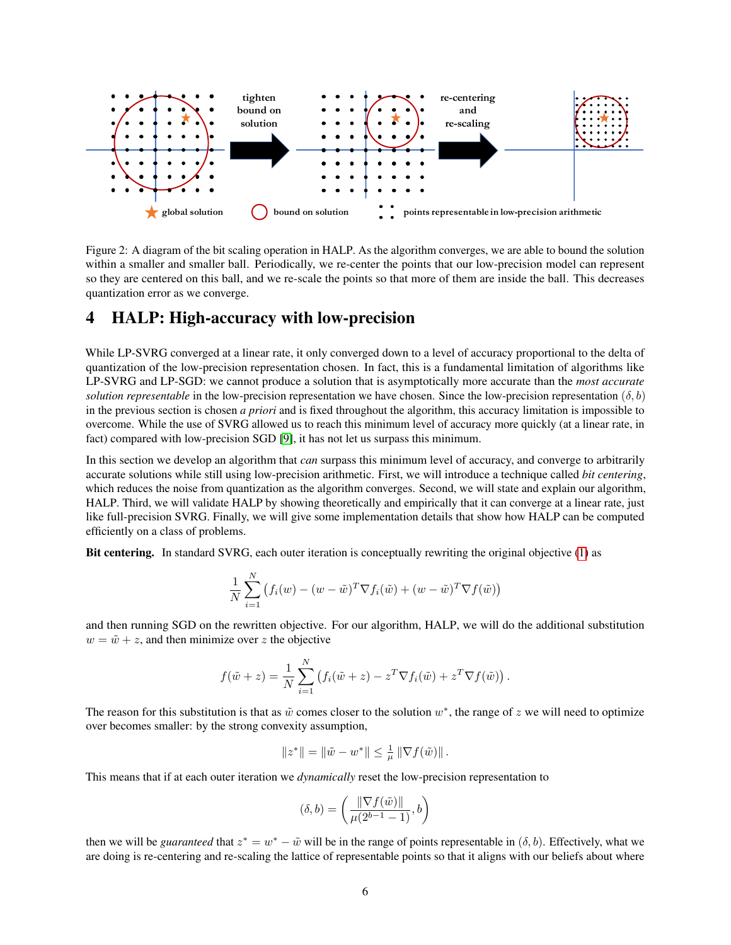

Figure 2: A diagram of the bit scaling operation in HALP. As the algorithm converges, we are able to bound the solution within a smaller and smaller ball. Periodically, we re-center the points that our low-precision model can represent so they are centered on this ball, and we re-scale the points so that more of them are inside the ball. This decreases quantization error as we converge.

## <span id="page-5-0"></span>4 HALP: High-accuracy with low-precision

While LP-SVRG converged at a linear rate, it only converged down to a level of accuracy proportional to the delta of quantization of the low-precision representation chosen. In fact, this is a fundamental limitation of algorithms like LP-SVRG and LP-SGD: we cannot produce a solution that is asymptotically more accurate than the *most accurate solution representable* in the low-precision representation we have chosen. Since the low-precision representation ( $\delta$ , b) in the previous section is chosen *a priori* and is fixed throughout the algorithm, this accuracy limitation is impossible to overcome. While the use of SVRG allowed us to reach this minimum level of accuracy more quickly (at a linear rate, in fact) compared with low-precision SGD [\[9\]](#page-10-4), it has not let us surpass this minimum.

In this section we develop an algorithm that *can* surpass this minimum level of accuracy, and converge to arbitrarily accurate solutions while still using low-precision arithmetic. First, we will introduce a technique called *bit centering*, which reduces the noise from quantization as the algorithm converges. Second, we will state and explain our algorithm, HALP. Third, we will validate HALP by showing theoretically and empirically that it can converge at a linear rate, just like full-precision SVRG. Finally, we will give some implementation details that show how HALP can be computed efficiently on a class of problems.

Bit centering. In standard SVRG, each outer iteration is conceptually rewriting the original objective [\(1\)](#page-0-0) as

$$
\frac{1}{N} \sum_{i=1}^{N} \left( f_i(w) - (w - \tilde{w})^T \nabla f_i(\tilde{w}) + (w - \tilde{w})^T \nabla f(\tilde{w}) \right)
$$

and then running SGD on the rewritten objective. For our algorithm, HALP, we will do the additional substitution  $w = \tilde{w} + z$ , and then minimize over z the objective

$$
f(\tilde{w} + z) = \frac{1}{N} \sum_{i=1}^{N} (f_i(\tilde{w} + z) - z^T \nabla f_i(\tilde{w}) + z^T \nabla f(\tilde{w})).
$$

The reason for this substitution is that as  $\tilde{w}$  comes closer to the solution  $w^*$ , the range of z we will need to optimize over becomes smaller: by the strong convexity assumption,

$$
||z^*|| = ||\tilde{w} - w^*|| \le \frac{1}{\mu} ||\nabla f(\tilde{w})||.
$$

This means that if at each outer iteration we *dynamically* reset the low-precision representation to

$$
(\delta, b) = \left(\frac{\|\nabla f(\tilde{w})\|}{\mu(2^{b-1} - 1)}, b\right)
$$

then we will be *guaranteed* that  $z^* = w^* - \tilde{w}$  will be in the range of points representable in  $(\delta, b)$ . Effectively, what we are doing is re-centering and re-scaling the lattice of representable points so that it aligns with our beliefs about where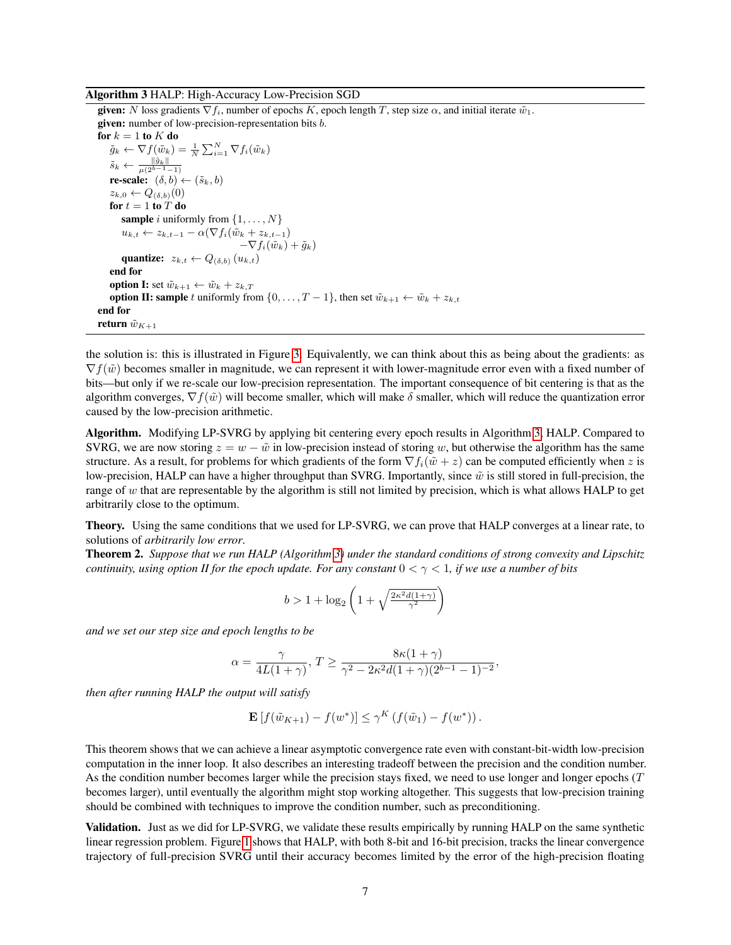#### <span id="page-6-0"></span>Algorithm 3 HALP: High-Accuracy Low-Precision SGD

given: N loss gradients  $\nabla f_i$ , number of epochs K, epoch length T, step size  $\alpha$ , and initial iterate  $\tilde{w}_1$ . given: number of low-precision-representation bits b.

for  $k = 1$  to  $K$  do  $\tilde{g}_k \leftarrow \nabla f(\tilde{w}_k) = \frac{1}{N} \sum_{i=1}^{N} \nabla f_i(\tilde{w}_k)$  $\tilde{s}_k \leftarrow \frac{\|\tilde{g}_k\|}{\mu(2^{b-1}-1)}$ re-scale:  $(\delta, b) \leftarrow (\tilde{s}_k, b)$  $z_{k,0} \leftarrow Q_{(\delta,b)}(0)$ for  $t = 1$  to  $\hat{T}$  do **sample** i uniformly from  $\{1, \ldots, N\}$  $u_{k,t} \leftarrow z_{k,t-1} - \alpha(\nabla f_i(\tilde{w}_k + z_{k,t-1}))$  $-\nabla f_i(\tilde w_k) + \tilde q_k$ quantize:  $z_{k,t} \leftarrow Q_{(\delta,b)}(u_{k,t})$ end for **option I:** set  $\tilde{w}_{k+1} \leftarrow \tilde{w}_k + z_{k,T}$ **option II: sample** t uniformly from  $\{0, \ldots, T-1\}$ , then set  $\tilde{w}_{k+1} \leftarrow \tilde{w}_k + z_{k,t}$ end for return  $\tilde{w}_{K+1}$ 

the solution is: this is illustrated in Figure [3.](#page-4-1) Equivalently, we can think about this as being about the gradients: as  $\nabla f(\tilde{w})$  becomes smaller in magnitude, we can represent it with lower-magnitude error even with a fixed number of bits—but only if we re-scale our low-precision representation. The important consequence of bit centering is that as the algorithm converges,  $\nabla f(\tilde{w})$  will become smaller, which will make  $\delta$  smaller, which will reduce the quantization error caused by the low-precision arithmetic.

Algorithm. Modifying LP-SVRG by applying bit centering every epoch results in Algorithm [3,](#page-6-0) HALP. Compared to SVRG, we are now storing  $z = w - \tilde{w}$  in low-precision instead of storing w, but otherwise the algorithm has the same structure. As a result, for problems for which gradients of the form  $\nabla f_i(\tilde{w} + z)$  can be computed efficiently when z is low-precision, HALP can have a higher throughput than SVRG. Importantly, since  $\tilde{w}$  is still stored in full-precision, the range of w that are representable by the algorithm is still not limited by precision, which is what allows HALP to get arbitrarily close to the optimum.

Theory. Using the same conditions that we used for LP-SVRG, we can prove that HALP converges at a linear rate, to solutions of *arbitrarily low error*.

<span id="page-6-1"></span>Theorem 2. *Suppose that we run HALP (Algorithm [3\)](#page-6-0) under the standard conditions of strong convexity and Lipschitz continuity, using option II for the epoch update. For any constant*  $0 < \gamma < 1$ *, if we use a number of bits* 

$$
b>1+\log_2\left(1+\sqrt{\tfrac{2\kappa^2d(1+\gamma)}{\gamma^2}}\right)
$$

*and we set our step size and epoch lengths to be*

$$
\alpha = \frac{\gamma}{4L(1+\gamma)}, T \ge \frac{8\kappa(1+\gamma)}{\gamma^2 - 2\kappa^2 d(1+\gamma)(2^{b-1}-1)^{-2}},
$$

*then after running HALP the output will satisfy*

$$
\mathbf{E}\left[f(\tilde{w}_{K+1}) - f(w^*)\right] \leq \gamma^K \left(f(\tilde{w}_1) - f(w^*)\right).
$$

This theorem shows that we can achieve a linear asymptotic convergence rate even with constant-bit-width low-precision computation in the inner loop. It also describes an interesting tradeoff between the precision and the condition number. As the condition number becomes larger while the precision stays fixed, we need to use longer and longer epochs (T becomes larger), until eventually the algorithm might stop working altogether. This suggests that low-precision training should be combined with techniques to improve the condition number, such as preconditioning.

Validation. Just as we did for LP-SVRG, we validate these results empirically by running HALP on the same synthetic linear regression problem. Figure [1](#page-4-1) shows that HALP, with both 8-bit and 16-bit precision, tracks the linear convergence trajectory of full-precision SVRG until their accuracy becomes limited by the error of the high-precision floating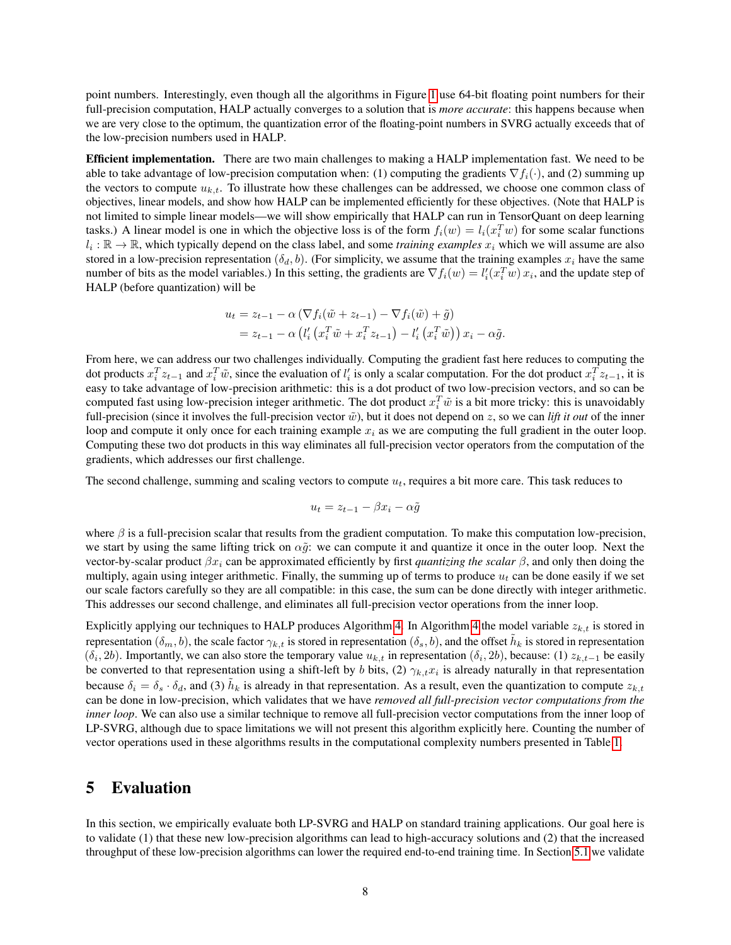point numbers. Interestingly, even though all the algorithms in Figure [1](#page-4-1) use 64-bit floating point numbers for their full-precision computation, HALP actually converges to a solution that is *more accurate*: this happens because when we are very close to the optimum, the quantization error of the floating-point numbers in SVRG actually exceeds that of the low-precision numbers used in HALP.

Efficient implementation. There are two main challenges to making a HALP implementation fast. We need to be able to take advantage of low-precision computation when: (1) computing the gradients  $\nabla f_i(\cdot)$ , and (2) summing up the vectors to compute  $u_{k,t}$ . To illustrate how these challenges can be addressed, we choose one common class of objectives, linear models, and show how HALP can be implemented efficiently for these objectives. (Note that HALP is not limited to simple linear models—we will show empirically that HALP can run in TensorQuant on deep learning tasks.) A linear model is one in which the objective loss is of the form  $f_i(w) = l_i(x_i^T w)$  for some scalar functions  $l_i : \mathbb{R} \to \mathbb{R}$ , which typically depend on the class label, and some *training examples*  $x_i$  which we will assume are also stored in a low-precision representation  $(\delta_d, b)$ . (For simplicity, we assume that the training examples  $x_i$  have the same number of bits as the model variables.) In this setting, the gradients are  $\nabla f_i(w) = l'_i(x_i^T w) x_i$ , and the update step of HALP (before quantization) will be

$$
u_t = z_{t-1} - \alpha \left( \nabla f_i(\tilde{w} + z_{t-1}) - \nabla f_i(\tilde{w}) + \tilde{g} \right)
$$
  
=  $z_{t-1} - \alpha \left( l'_i \left( x_i^T \tilde{w} + x_i^T z_{t-1} \right) - l'_i \left( x_i^T \tilde{w} \right) \right) x_i - \alpha \tilde{g}.$ 

From here, we can address our two challenges individually. Computing the gradient fast here reduces to computing the dot products  $x_i^T z_{t-1}$  and  $x_i^T \tilde{w}$ , since the evaluation of  $l'_i$  is only a scalar computation. For the dot product  $x_i^T z_{t-1}$ , it is easy to take advantage of low-precision arithmetic: this is a dot product of two low-precision vectors, and so can be computed fast using low-precision integer arithmetic. The dot product  $x_i^T\tilde{w}$  is a bit more tricky: this is unavoidably full-precision (since it involves the full-precision vector  $\tilde{w}$ ), but it does not depend on z, so we can *lift it out* of the inner loop and compute it only once for each training example  $x_i$  as we are computing the full gradient in the outer loop. Computing these two dot products in this way eliminates all full-precision vector operators from the computation of the gradients, which addresses our first challenge.

The second challenge, summing and scaling vectors to compute  $u_t$ , requires a bit more care. This task reduces to

$$
u_t = z_{t-1} - \beta x_i - \alpha \tilde{g}
$$

where  $\beta$  is a full-precision scalar that results from the gradient computation. To make this computation low-precision, we start by using the same lifting trick on  $\alpha \tilde{q}$ : we can compute it and quantize it once in the outer loop. Next the vector-by-scalar product  $\beta x_i$  can be approximated efficiently by first *quantizing the scalar*  $\beta$ , and only then doing the multiply, again using integer arithmetic. Finally, the summing up of terms to produce  $u_t$  can be done easily if we set our scale factors carefully so they are all compatible: in this case, the sum can be done directly with integer arithmetic. This addresses our second challenge, and eliminates all full-precision vector operations from the inner loop.

Explicitly applying our techniques to HALP produces Algorithm [4.](#page-8-0) In Algorithm [4](#page-8-0) the model variable  $z_{k,t}$  is stored in representation  $(\delta_m, b)$ , the scale factor  $\gamma_{k,t}$  is stored in representation  $(\delta_s, b)$ , and the offset  $\tilde{h}_k$  is stored in representation  $(\delta_i, 2b)$ . Importantly, we can also store the temporary value  $u_{k,t}$  in representation  $(\delta_i, 2b)$ , because: (1)  $z_{k,t-1}$  be easily be converted to that representation using a shift-left by b bits, (2)  $\gamma_{k,t} x_i$  is already naturally in that representation because  $\delta_i = \delta_s \cdot \delta_d$ , and (3)  $\tilde{h}_k$  is already in that representation. As a result, even the quantization to compute  $z_{k,t}$ can be done in low-precision, which validates that we have *removed all full-precision vector computations from the inner loop*. We can also use a similar technique to remove all full-precision vector computations from the inner loop of LP-SVRG, although due to space limitations we will not present this algorithm explicitly here. Counting the number of vector operations used in these algorithms results in the computational complexity numbers presented in Table [1.](#page-1-1)

### <span id="page-7-0"></span>5 Evaluation

In this section, we empirically evaluate both LP-SVRG and HALP on standard training applications. Our goal here is to validate (1) that these new low-precision algorithms can lead to high-accuracy solutions and (2) that the increased throughput of these low-precision algorithms can lower the required end-to-end training time. In Section [5.1](#page-8-1) we validate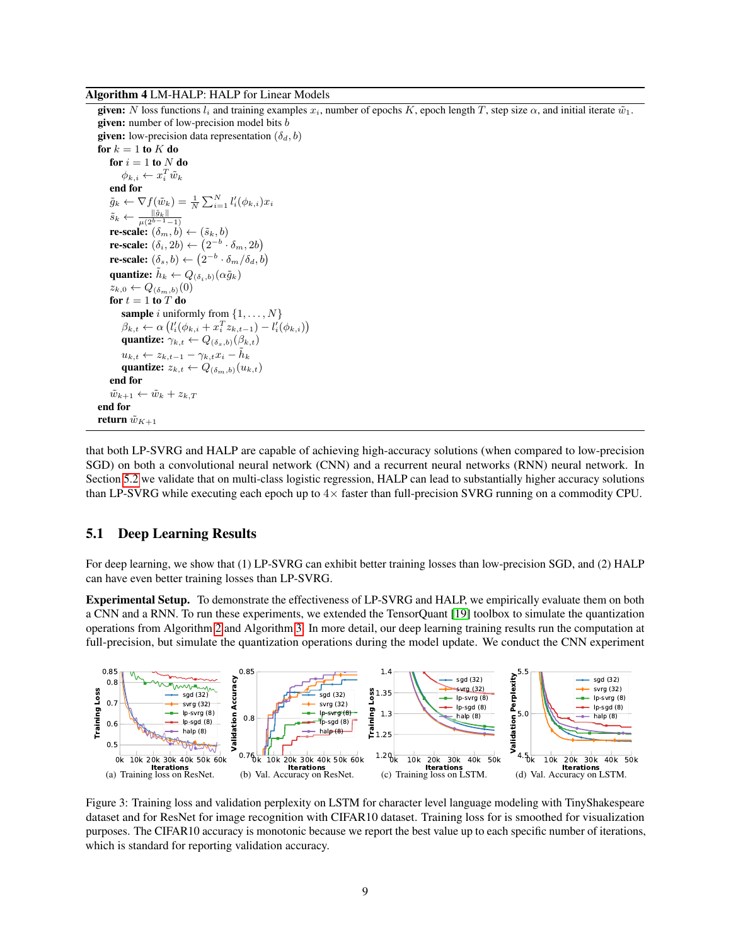#### <span id="page-8-0"></span>Algorithm 4 LM-HALP: HALP for Linear Models

given: N loss functions  $l_i$  and training examples  $x_i$ , number of epochs K, epoch length T, step size  $\alpha$ , and initial iterate  $\tilde{w}_1$ . given: number of low-precision model bits b given: low-precision data representation  $(\delta_d, b)$ for  $k = 1$  to  $K$  do for  $i = 1$  to N do  $\phi_{k,i} \leftarrow x_i^T \tilde{w}_k$ end for  $\tilde{g}_k \leftarrow \nabla f(\tilde{w}_k) = \frac{1}{N} \sum_{i=1}^N l'_i(\phi_{k,i}) x_i$  $\tilde{s}_k \leftarrow \frac{\|\tilde{g}_k\|}{\mu(2^{b-1}-1)}$ re-scale:  $(\delta_m, b) \leftarrow (\tilde{s}_k, b)$ **re-scale:**  $(\delta_i, 2b) \leftarrow (2^{-b} \cdot \delta_m, 2b)$ **re-scale:**  $(\delta_s, b) \leftarrow (2^{-b} \cdot \delta_m / \delta_d, b)$ quantize:  $\tilde{h}_k \leftarrow Q_{(\delta_i, b)}(\alpha \tilde{g}_k)$  $z_{k,0} \leftarrow Q_{(\delta_m,b)}(0)$ for  $t = 1$  to  $\overline{T}$  do **sample** i uniformly from  $\{1, \ldots, N\}$  $\beta_{k,t} \leftarrow \alpha \left( l'_{i}(\phi_{k,i} + x_{i}^{T} z_{k,t-1}) - l'_{i}(\phi_{k,i}) \right)$ quantize:  $\gamma_{k,t} \leftarrow Q_{(\delta_s,b)}(\beta_{k,t})$  $u_{k,t} \leftarrow z_{k,t-1} - \gamma_{k,t} x_i - \tilde{h}_k$ quantize:  $z_{k,t} \leftarrow Q_{(\delta_m, b)}(u_{k,t})$ end for  $\tilde{w}_{k+1} \leftarrow \tilde{w}_k + z_{k,T}$ end for return  $\tilde{w}_{K+1}$ 

that both LP-SVRG and HALP are capable of achieving high-accuracy solutions (when compared to low-precision SGD) on both a convolutional neural network (CNN) and a recurrent neural networks (RNN) neural network. In Section [5.2](#page-9-0) we validate that on multi-class logistic regression, HALP can lead to substantially higher accuracy solutions than LP-SVRG while executing each epoch up to  $4\times$  faster than full-precision SVRG running on a commodity CPU.

#### <span id="page-8-1"></span>5.1 Deep Learning Results

For deep learning, we show that (1) LP-SVRG can exhibit better training losses than low-precision SGD, and (2) HALP can have even better training losses than LP-SVRG.

Experimental Setup. To demonstrate the effectiveness of LP-SVRG and HALP, we empirically evaluate them on both a CNN and a RNN. To run these experiments, we extended the TensorQuant [\[19\]](#page-11-3) toolbox to simulate the quantization operations from Algorithm [2](#page-3-2) and Algorithm [3.](#page-6-0) In more detail, our deep learning training results run the computation at full-precision, but simulate the quantization operations during the model update. We conduct the CNN experiment



<span id="page-8-5"></span><span id="page-8-4"></span><span id="page-8-3"></span><span id="page-8-2"></span>Figure 3: Training loss and validation perplexity on LSTM for character level language modeling with TinyShakespeare dataset and for ResNet for image recognition with CIFAR10 dataset. Training loss for is smoothed for visualization purposes. The CIFAR10 accuracy is monotonic because we report the best value up to each specific number of iterations, which is standard for reporting validation accuracy.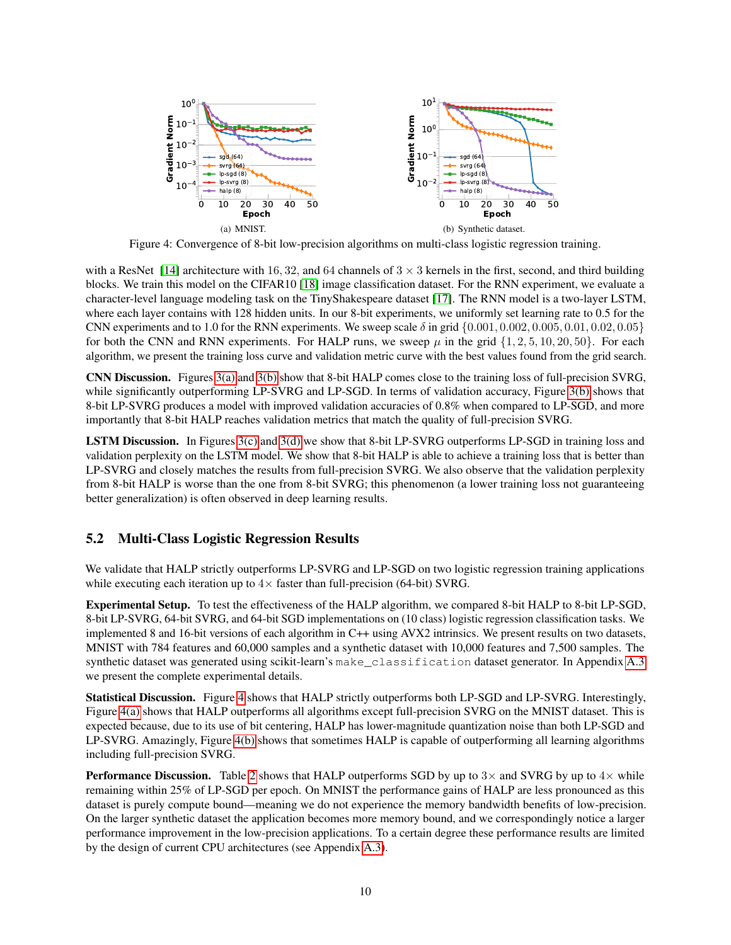<span id="page-9-3"></span>

<span id="page-9-2"></span><span id="page-9-1"></span>Figure 4: Convergence of 8-bit low-precision algorithms on multi-class logistic regression training.

with a ResNet [\[14\]](#page-11-15) architecture with 16, 32, and 64 channels of  $3 \times 3$  kernels in the first, second, and third building blocks. We train this model on the CIFAR10 [\[18\]](#page-11-16) image classification dataset. For the RNN experiment, we evaluate a character-level language modeling task on the TinyShakespeare dataset [\[17\]](#page-11-17). The RNN model is a two-layer LSTM, where each layer contains with 128 hidden units. In our 8-bit experiments, we uniformly set learning rate to 0.5 for the CNN experiments and to 1.0 for the RNN experiments. We sweep scale  $\delta$  in grid  $\{0.001, 0.002, 0.005, 0.01, 0.02, 0.05\}$ for both the CNN and RNN experiments. For HALP runs, we sweep  $\mu$  in the grid  $\{1, 2, 5, 10, 20, 50\}$ . For each algorithm, we present the training loss curve and validation metric curve with the best values found from the grid search.

CNN Discussion. Figures [3\(a\)](#page-8-2) and [3\(b\)](#page-8-3) show that 8-bit HALP comes close to the training loss of full-precision SVRG, while significantly outperforming LP-SVRG and LP-SGD. In terms of validation accuracy, Figure [3\(b\)](#page-8-3) shows that 8-bit LP-SVRG produces a model with improved validation accuracies of 0.8% when compared to LP-SGD, and more importantly that 8-bit HALP reaches validation metrics that match the quality of full-precision SVRG.

LSTM Discussion. In Figures [3\(c\)](#page-8-4) and [3\(d\)](#page-8-5) we show that 8-bit LP-SVRG outperforms LP-SGD in training loss and validation perplexity on the LSTM model. We show that 8-bit HALP is able to achieve a training loss that is better than LP-SVRG and closely matches the results from full-precision SVRG. We also observe that the validation perplexity from 8-bit HALP is worse than the one from 8-bit SVRG; this phenomenon (a lower training loss not guaranteeing better generalization) is often observed in deep learning results.

### <span id="page-9-0"></span>5.2 Multi-Class Logistic Regression Results

We validate that HALP strictly outperforms LP-SVRG and LP-SGD on two logistic regression training applications while executing each iteration up to  $4 \times$  faster than full-precision (64-bit) SVRG.

Experimental Setup. To test the effectiveness of the HALP algorithm, we compared 8-bit HALP to 8-bit LP-SGD, 8-bit LP-SVRG, 64-bit SVRG, and 64-bit SGD implementations on (10 class) logistic regression classification tasks. We implemented 8 and 16-bit versions of each algorithm in C++ using AVX2 intrinsics. We present results on two datasets, MNIST with 784 features and 60,000 samples and a synthetic dataset with 10,000 features and 7,500 samples. The synthetic dataset was generated using scikit-learn's make\_classification dataset generator. In Appendix [A.3](#page-14-0) we present the complete experimental details.

Statistical Discussion. Figure [4](#page-9-1) shows that HALP strictly outperforms both LP-SGD and LP-SVRG. Interestingly, Figure [4\(a\)](#page-9-2) shows that HALP outperforms all algorithms except full-precision SVRG on the MNIST dataset. This is expected because, due to its use of bit centering, HALP has lower-magnitude quantization noise than both LP-SGD and LP-SVRG. Amazingly, Figure [4\(b\)](#page-9-3) shows that sometimes HALP is capable of outperforming all learning algorithms including full-precision SVRG.

**Performance Discussion.** Table [2](#page-10-11) shows that HALP outperforms SGD by up to  $3 \times$  and SVRG by up to  $4 \times$  while remaining within 25% of LP-SGD per epoch. On MNIST the performance gains of HALP are less pronounced as this dataset is purely compute bound—meaning we do not experience the memory bandwidth benefits of low-precision. On the larger synthetic dataset the application becomes more memory bound, and we correspondingly notice a larger performance improvement in the low-precision applications. To a certain degree these performance results are limited by the design of current CPU architectures (see Appendix [A.3\)](#page-14-0).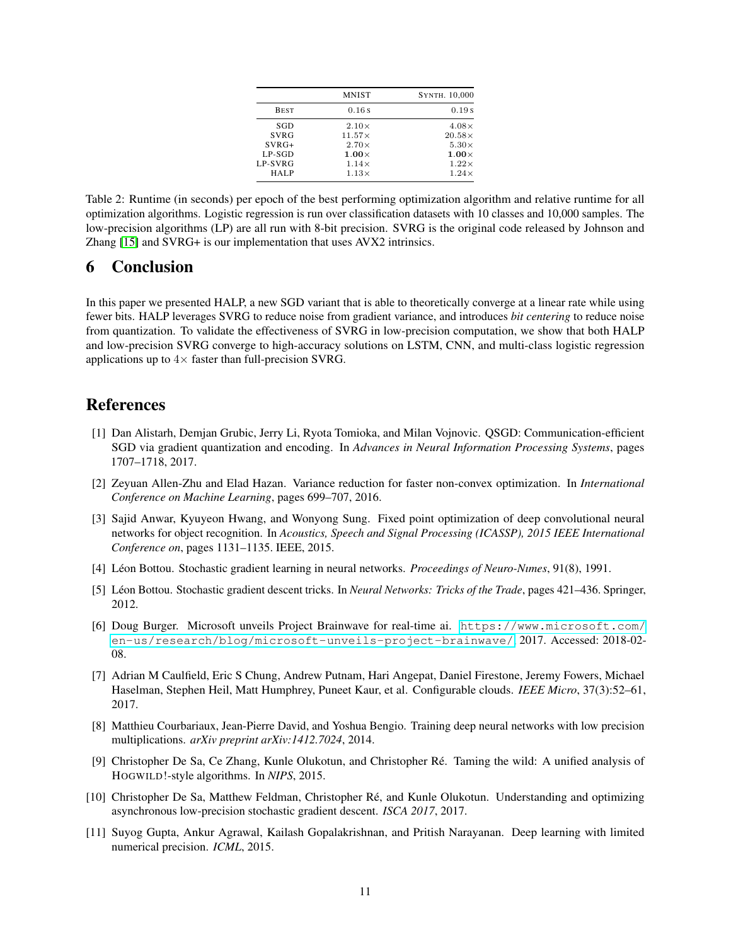| <b>MNIST</b>  | SYNTH. 10,000 |
|---------------|---------------|
| 0.16s         | 0.19s         |
| $2.10\times$  | $4.08\times$  |
| $11.57\times$ | $20.58\times$ |
| $2.70\times$  | $5.30\times$  |
| $1.00\times$  | $1.00\times$  |
| $1.14\times$  | $1.22\times$  |
| $1.13\times$  | $1.24\times$  |
|               |               |

<span id="page-10-11"></span>Table 2: Runtime (in seconds) per epoch of the best performing optimization algorithm and relative runtime for all optimization algorithms. Logistic regression is run over classification datasets with 10 classes and 10,000 samples. The low-precision algorithms (LP) are all run with 8-bit precision. SVRG is the original code released by Johnson and Zhang [\[15\]](#page-11-2) and SVRG+ is our implementation that uses AVX2 intrinsics.

### 6 Conclusion

In this paper we presented HALP, a new SGD variant that is able to theoretically converge at a linear rate while using fewer bits. HALP leverages SVRG to reduce noise from gradient variance, and introduces *bit centering* to reduce noise from quantization. To validate the effectiveness of SVRG in low-precision computation, we show that both HALP and low-precision SVRG converge to high-accuracy solutions on LSTM, CNN, and multi-class logistic regression applications up to  $4\times$  faster than full-precision SVRG.

## References

- <span id="page-10-10"></span>[1] Dan Alistarh, Demjan Grubic, Jerry Li, Ryota Tomioka, and Milan Vojnovic. QSGD: Communication-efficient SGD via gradient quantization and encoding. In *Advances in Neural Information Processing Systems*, pages 1707–1718, 2017.
- <span id="page-10-9"></span>[2] Zeyuan Allen-Zhu and Elad Hazan. Variance reduction for faster non-convex optimization. In *International Conference on Machine Learning*, pages 699–707, 2016.
- <span id="page-10-8"></span>[3] Sajid Anwar, Kyuyeon Hwang, and Wonyong Sung. Fixed point optimization of deep convolutional neural networks for object recognition. In *Acoustics, Speech and Signal Processing (ICASSP), 2015 IEEE International Conference on*, pages 1131–1135. IEEE, 2015.
- <span id="page-10-0"></span>[4] Léon Bottou. Stochastic gradient learning in neural networks. *Proceedings of Neuro-Numes*, 91(8), 1991.
- <span id="page-10-1"></span>[5] Léon Bottou. Stochastic gradient descent tricks. In *Neural Networks: Tricks of the Trade*, pages 421–436. Springer, 2012.
- <span id="page-10-2"></span>[6] Doug Burger. Microsoft unveils Project Brainwave for real-time ai. [https://www.microsoft.com/](https://www.microsoft.com/en-us/research/blog/microsoft-unveils-project-brainwave/) [en-us/research/blog/microsoft-unveils-project-brainwave/](https://www.microsoft.com/en-us/research/blog/microsoft-unveils-project-brainwave/), 2017. Accessed: 2018-02- 08.
- <span id="page-10-3"></span>[7] Adrian M Caulfield, Eric S Chung, Andrew Putnam, Hari Angepat, Daniel Firestone, Jeremy Fowers, Michael Haselman, Stephen Heil, Matt Humphrey, Puneet Kaur, et al. Configurable clouds. *IEEE Micro*, 37(3):52–61, 2017.
- <span id="page-10-5"></span>[8] Matthieu Courbariaux, Jean-Pierre David, and Yoshua Bengio. Training deep neural networks with low precision multiplications. *arXiv preprint arXiv:1412.7024*, 2014.
- <span id="page-10-4"></span>[9] Christopher De Sa, Ce Zhang, Kunle Olukotun, and Christopher Re. Taming the wild: A unified analysis of ´ HOGWILD!-style algorithms. In *NIPS*, 2015.
- <span id="page-10-6"></span>[10] Christopher De Sa, Matthew Feldman, Christopher Re, and Kunle Olukotun. Understanding and optimizing ´ asynchronous low-precision stochastic gradient descent. *ISCA 2017*, 2017.
- <span id="page-10-7"></span>[11] Suyog Gupta, Ankur Agrawal, Kailash Gopalakrishnan, and Pritish Narayanan. Deep learning with limited numerical precision. *ICML*, 2015.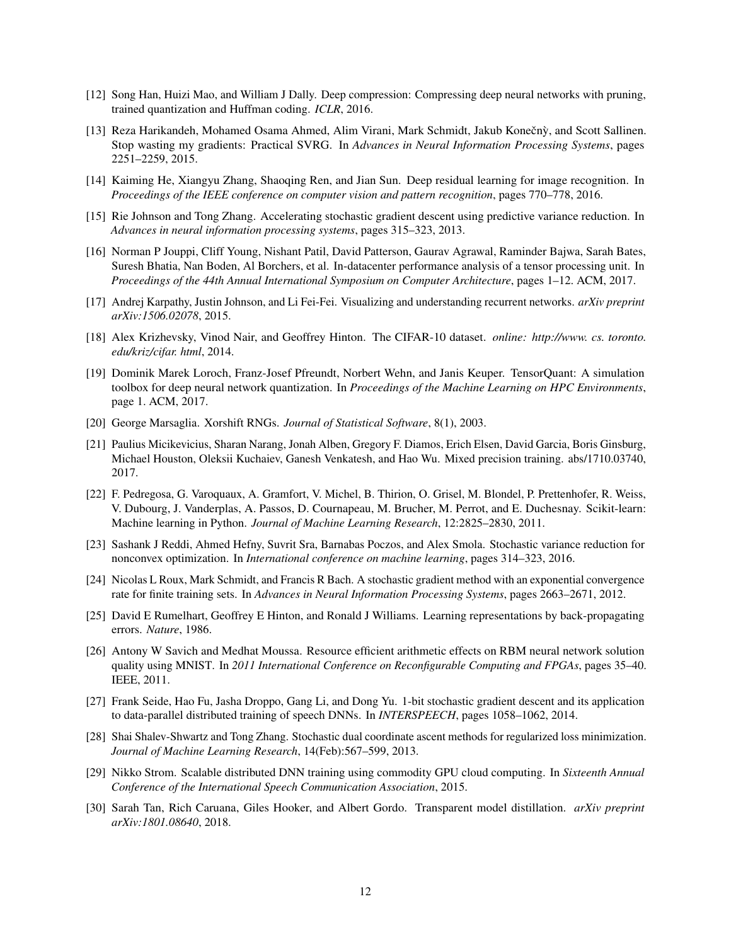- <span id="page-11-4"></span>[12] Song Han, Huizi Mao, and William J Dally. Deep compression: Compressing deep neural networks with pruning, trained quantization and Huffman coding. *ICLR*, 2016.
- <span id="page-11-13"></span>[13] Reza Harikandeh, Mohamed Osama Ahmed, Alim Virani, Mark Schmidt, Jakub Konečný, and Scott Sallinen. Stop wasting my gradients: Practical SVRG. In *Advances in Neural Information Processing Systems*, pages 2251–2259, 2015.
- <span id="page-11-15"></span>[14] Kaiming He, Xiangyu Zhang, Shaoqing Ren, and Jian Sun. Deep residual learning for image recognition. In *Proceedings of the IEEE conference on computer vision and pattern recognition*, pages 770–778, 2016.
- <span id="page-11-2"></span>[15] Rie Johnson and Tong Zhang. Accelerating stochastic gradient descent using predictive variance reduction. In *Advances in neural information processing systems*, pages 315–323, 2013.
- <span id="page-11-1"></span>[16] Norman P Jouppi, Cliff Young, Nishant Patil, David Patterson, Gaurav Agrawal, Raminder Bajwa, Sarah Bates, Suresh Bhatia, Nan Boden, Al Borchers, et al. In-datacenter performance analysis of a tensor processing unit. In *Proceedings of the 44th Annual International Symposium on Computer Architecture*, pages 1–12. ACM, 2017.
- <span id="page-11-17"></span>[17] Andrej Karpathy, Justin Johnson, and Li Fei-Fei. Visualizing and understanding recurrent networks. *arXiv preprint arXiv:1506.02078*, 2015.
- <span id="page-11-16"></span>[18] Alex Krizhevsky, Vinod Nair, and Geoffrey Hinton. The CIFAR-10 dataset. *online: http://www. cs. toronto. edu/kriz/cifar. html*, 2014.
- <span id="page-11-3"></span>[19] Dominik Marek Loroch, Franz-Josef Pfreundt, Norbert Wehn, and Janis Keuper. TensorQuant: A simulation toolbox for deep neural network quantization. In *Proceedings of the Machine Learning on HPC Environments*, page 1. ACM, 2017.
- <span id="page-11-18"></span>[20] George Marsaglia. Xorshift RNGs. *Journal of Statistical Software*, 8(1), 2003.
- <span id="page-11-6"></span>[21] Paulius Micikevicius, Sharan Narang, Jonah Alben, Gregory F. Diamos, Erich Elsen, David Garcia, Boris Ginsburg, Michael Houston, Oleksii Kuchaiev, Ganesh Venkatesh, and Hao Wu. Mixed precision training. abs/1710.03740, 2017.
- <span id="page-11-14"></span>[22] F. Pedregosa, G. Varoquaux, A. Gramfort, V. Michel, B. Thirion, O. Grisel, M. Blondel, P. Prettenhofer, R. Weiss, V. Dubourg, J. Vanderplas, A. Passos, D. Cournapeau, M. Brucher, M. Perrot, and E. Duchesnay. Scikit-learn: Machine learning in Python. *Journal of Machine Learning Research*, 12:2825–2830, 2011.
- <span id="page-11-12"></span>[23] Sashank J Reddi, Ahmed Hefny, Suvrit Sra, Barnabas Poczos, and Alex Smola. Stochastic variance reduction for nonconvex optimization. In *International conference on machine learning*, pages 314–323, 2016.
- <span id="page-11-10"></span>[24] Nicolas L Roux, Mark Schmidt, and Francis R Bach. A stochastic gradient method with an exponential convergence rate for finite training sets. In *Advances in Neural Information Processing Systems*, pages 2663–2671, 2012.
- <span id="page-11-0"></span>[25] David E Rumelhart, Geoffrey E Hinton, and Ronald J Williams. Learning representations by back-propagating errors. *Nature*, 1986.
- <span id="page-11-7"></span>[26] Antony W Savich and Medhat Moussa. Resource efficient arithmetic effects on RBM neural network solution quality using MNIST. In *2011 International Conference on Reconfigurable Computing and FPGAs*, pages 35–40. IEEE, 2011.
- <span id="page-11-8"></span>[27] Frank Seide, Hao Fu, Jasha Droppo, Gang Li, and Dong Yu. 1-bit stochastic gradient descent and its application to data-parallel distributed training of speech DNNs. In *INTERSPEECH*, pages 1058–1062, 2014.
- <span id="page-11-11"></span>[28] Shai Shalev-Shwartz and Tong Zhang. Stochastic dual coordinate ascent methods for regularized loss minimization. *Journal of Machine Learning Research*, 14(Feb):567–599, 2013.
- <span id="page-11-9"></span>[29] Nikko Strom. Scalable distributed DNN training using commodity GPU cloud computing. In *Sixteenth Annual Conference of the International Speech Communication Association*, 2015.
- <span id="page-11-5"></span>[30] Sarah Tan, Rich Caruana, Giles Hooker, and Albert Gordo. Transparent model distillation. *arXiv preprint arXiv:1801.08640*, 2018.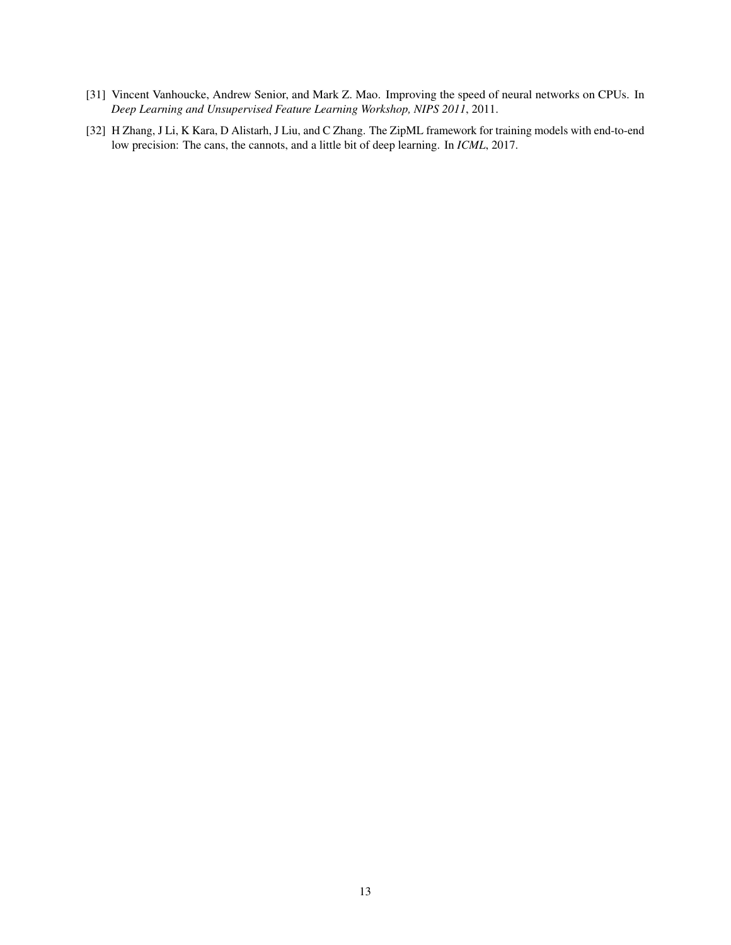- <span id="page-12-1"></span>[31] Vincent Vanhoucke, Andrew Senior, and Mark Z. Mao. Improving the speed of neural networks on CPUs. In *Deep Learning and Unsupervised Feature Learning Workshop, NIPS 2011*, 2011.
- <span id="page-12-0"></span>[32] H Zhang, J Li, K Kara, D Alistarh, J Liu, and C Zhang. The ZipML framework for training models with end-to-end low precision: The cans, the cannots, and a little bit of deep learning. In *ICML*, 2017.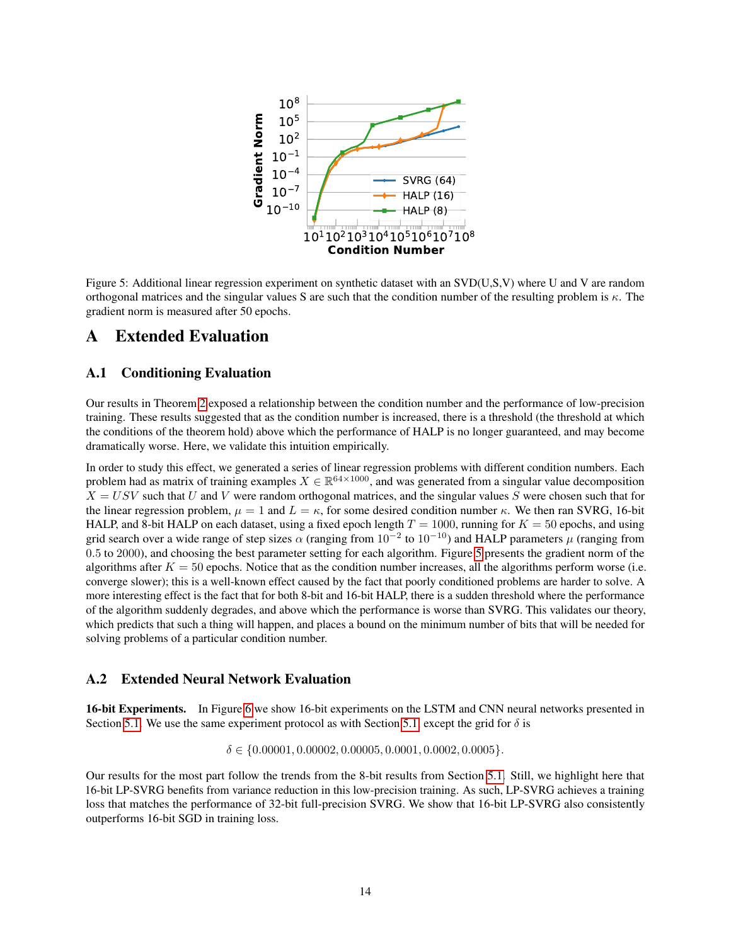

<span id="page-13-0"></span>Figure 5: Additional linear regression experiment on synthetic dataset with an SVD(U,S,V) where U and V are random orthogonal matrices and the singular values S are such that the condition number of the resulting problem is  $\kappa$ . The gradient norm is measured after 50 epochs.

## A Extended Evaluation

### A.1 Conditioning Evaluation

Our results in Theorem [2](#page-6-1) exposed a relationship between the condition number and the performance of low-precision training. These results suggested that as the condition number is increased, there is a threshold (the threshold at which the conditions of the theorem hold) above which the performance of HALP is no longer guaranteed, and may become dramatically worse. Here, we validate this intuition empirically.

In order to study this effect, we generated a series of linear regression problems with different condition numbers. Each problem had as matrix of training examples  $X \in \mathbb{R}^{64 \times 1000}$ , and was generated from a singular value decomposition  $X = USV$  such that U and V were random orthogonal matrices, and the singular values S were chosen such that for the linear regression problem,  $\mu = 1$  and  $L = \kappa$ , for some desired condition number  $\kappa$ . We then ran SVRG, 16-bit HALP, and 8-bit HALP on each dataset, using a fixed epoch length  $T = 1000$ , running for  $K = 50$  epochs, and using grid search over a wide range of step sizes  $\alpha$  (ranging from  $10^{-2}$  to  $10^{-10}$ ) and HALP parameters  $\mu$  (ranging from 0.5 to 2000), and choosing the best parameter setting for each algorithm. Figure [5](#page-13-0) presents the gradient norm of the algorithms after  $K = 50$  epochs. Notice that as the condition number increases, all the algorithms perform worse (i.e. converge slower); this is a well-known effect caused by the fact that poorly conditioned problems are harder to solve. A more interesting effect is the fact that for both 8-bit and 16-bit HALP, there is a sudden threshold where the performance of the algorithm suddenly degrades, and above which the performance is worse than SVRG. This validates our theory, which predicts that such a thing will happen, and places a bound on the minimum number of bits that will be needed for solving problems of a particular condition number.

### A.2 Extended Neural Network Evaluation

16-bit Experiments. In Figure [6](#page-14-1) we show 16-bit experiments on the LSTM and CNN neural networks presented in Section [5.1.](#page-8-1) We use the same experiment protocol as with Section [5.1,](#page-8-1) except the grid for  $\delta$  is

 $\delta \in \{0.00001, 0.00002, 0.00005, 0.0001, 0.0002, 0.0005\}.$ 

Our results for the most part follow the trends from the 8-bit results from Section [5.1.](#page-8-1) Still, we highlight here that 16-bit LP-SVRG benefits from variance reduction in this low-precision training. As such, LP-SVRG achieves a training loss that matches the performance of 32-bit full-precision SVRG. We show that 16-bit LP-SVRG also consistently outperforms 16-bit SGD in training loss.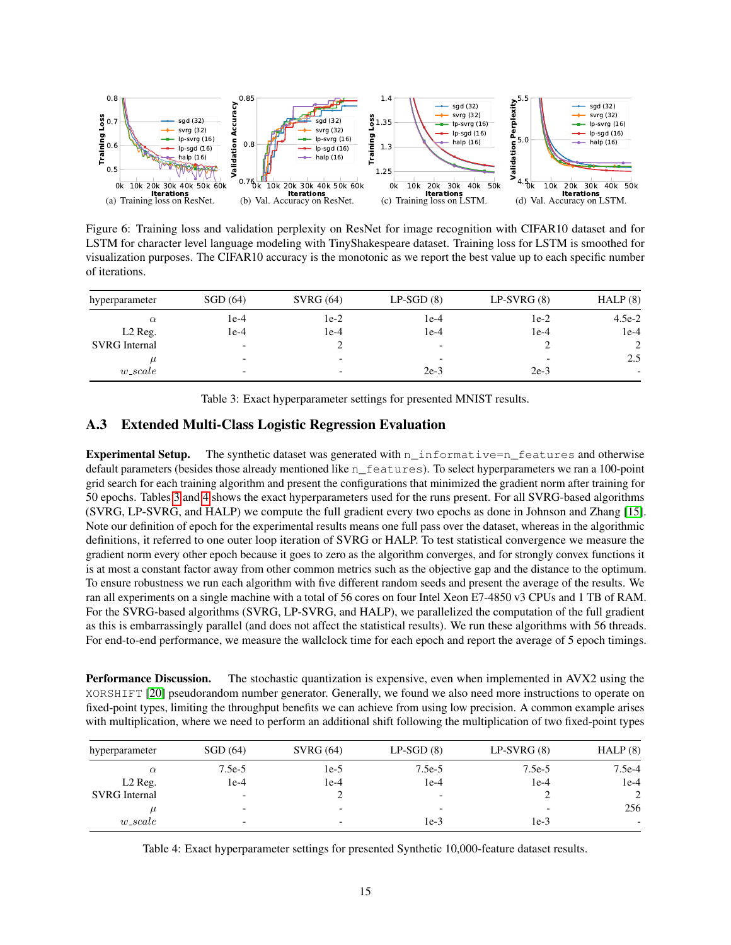

<span id="page-14-1"></span>Figure 6: Training loss and validation perplexity on ResNet for image recognition with CIFAR10 dataset and for LSTM for character level language modeling with TinyShakespeare dataset. Training loss for LSTM is smoothed for visualization purposes. The CIFAR10 accuracy is the monotonic as we report the best value up to each specific number of iterations.

| hyperparameter       | SGD(64)                  | SVRG(64)                 | $LP-SGD(8)$              | $LP-SVRG(8)$ | HALP(8)  |
|----------------------|--------------------------|--------------------------|--------------------------|--------------|----------|
| $\alpha$             | 1e-4                     | $1e-2$                   | $1e-4$                   | $1e-2$       | $4.5e-2$ |
| L <sub>2</sub> Reg.  | 1e-4                     | $1e-4$                   | $1e-4$                   | $1e-4$       | $1e-4$   |
| <b>SVRG</b> Internal | $\overline{\phantom{0}}$ |                          | $\overline{\phantom{0}}$ |              | 2        |
|                      | $\overline{\phantom{0}}$ | $\overline{\phantom{0}}$ | $\overline{\phantom{0}}$ |              | 2.5      |
| $w\_scale$           | $\overline{\phantom{0}}$ | $\overline{\phantom{0}}$ | $2e-3$                   | $2e-3$       |          |

<span id="page-14-2"></span>Table 3: Exact hyperparameter settings for presented MNIST results.

### <span id="page-14-0"></span>A.3 Extended Multi-Class Logistic Regression Evaluation

Experimental Setup. The synthetic dataset was generated with n\_informative=n\_features and otherwise default parameters (besides those already mentioned like n\_features). To select hyperparameters we ran a 100-point grid search for each training algorithm and present the configurations that minimized the gradient norm after training for 50 epochs. Tables [3](#page-14-2) and [4](#page-14-3) shows the exact hyperparameters used for the runs present. For all SVRG-based algorithms (SVRG, LP-SVRG, and HALP) we compute the full gradient every two epochs as done in Johnson and Zhang [\[15\]](#page-11-2). Note our definition of epoch for the experimental results means one full pass over the dataset, whereas in the algorithmic definitions, it referred to one outer loop iteration of SVRG or HALP. To test statistical convergence we measure the gradient norm every other epoch because it goes to zero as the algorithm converges, and for strongly convex functions it is at most a constant factor away from other common metrics such as the objective gap and the distance to the optimum. To ensure robustness we run each algorithm with five different random seeds and present the average of the results. We ran all experiments on a single machine with a total of 56 cores on four Intel Xeon E7-4850 v3 CPUs and 1 TB of RAM. For the SVRG-based algorithms (SVRG, LP-SVRG, and HALP), we parallelized the computation of the full gradient as this is embarrassingly parallel (and does not affect the statistical results). We run these algorithms with 56 threads. For end-to-end performance, we measure the wallclock time for each epoch and report the average of 5 epoch timings.

Performance Discussion. The stochastic quantization is expensive, even when implemented in AVX2 using the XORSHIFT [\[20\]](#page-11-18) pseudorandom number generator. Generally, we found we also need more instructions to operate on fixed-point types, limiting the throughput benefits we can achieve from using low precision. A common example arises with multiplication, where we need to perform an additional shift following the multiplication of two fixed-point types

| hyperparameter       | SGD(64)                  | SVRG(64)                 | $LP-SGD(8)$              | $LP-SVRG(8)$             | HALP(8)                  |
|----------------------|--------------------------|--------------------------|--------------------------|--------------------------|--------------------------|
| $\alpha$             | $7.5e-5$                 | $1e-5$                   | $7.5e-5$                 | $7.5e-5$                 | $7.5e-4$                 |
| L <sub>2</sub> Reg.  | 1e-4                     | $1e-4$                   | $1e-4$                   | $1e-4$                   | $1e-4$                   |
| <b>SVRG</b> Internal | $\overline{\phantom{0}}$ |                          | $\overline{\phantom{0}}$ |                          | 2                        |
|                      | $\overline{\phantom{0}}$ | $\overline{\phantom{0}}$ | $\overline{\phantom{0}}$ | $\overline{\phantom{0}}$ | 256                      |
| $w\_scale$           | $\overline{\phantom{0}}$ | $\overline{\phantom{0}}$ | $1e-3$                   | 1e-3                     | $\overline{\phantom{0}}$ |

<span id="page-14-3"></span>Table 4: Exact hyperparameter settings for presented Synthetic 10,000-feature dataset results.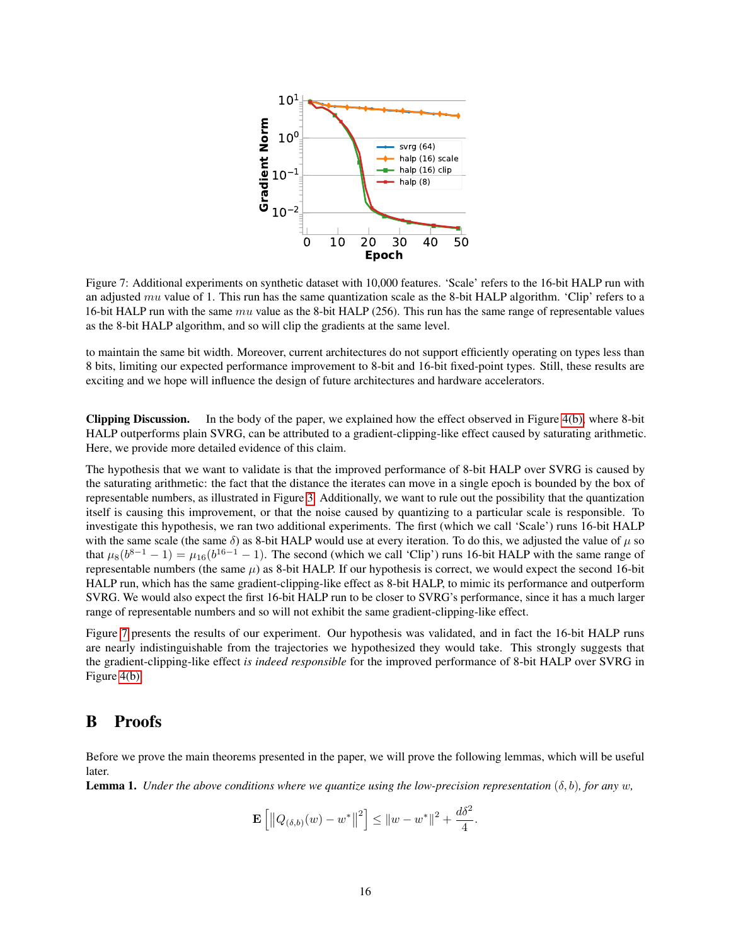

<span id="page-15-0"></span>Figure 7: Additional experiments on synthetic dataset with 10,000 features. 'Scale' refers to the 16-bit HALP run with an adjusted mu value of 1. This run has the same quantization scale as the 8-bit HALP algorithm. 'Clip' refers to a 16-bit HALP run with the same  $mu$  value as the 8-bit HALP (256). This run has the same range of representable values as the 8-bit HALP algorithm, and so will clip the gradients at the same level.

to maintain the same bit width. Moreover, current architectures do not support efficiently operating on types less than 8 bits, limiting our expected performance improvement to 8-bit and 16-bit fixed-point types. Still, these results are exciting and we hope will influence the design of future architectures and hardware accelerators.

Clipping Discussion. In the body of the paper, we explained how the effect observed in Figure [4\(b\),](#page-9-3) where 8-bit HALP outperforms plain SVRG, can be attributed to a gradient-clipping-like effect caused by saturating arithmetic. Here, we provide more detailed evidence of this claim.

The hypothesis that we want to validate is that the improved performance of 8-bit HALP over SVRG is caused by the saturating arithmetic: the fact that the distance the iterates can move in a single epoch is bounded by the box of representable numbers, as illustrated in Figure [3.](#page-4-1) Additionally, we want to rule out the possibility that the quantization itself is causing this improvement, or that the noise caused by quantizing to a particular scale is responsible. To investigate this hypothesis, we ran two additional experiments. The first (which we call 'Scale') runs 16-bit HALP with the same scale (the same  $\delta$ ) as 8-bit HALP would use at every iteration. To do this, we adjusted the value of  $\mu$  so that  $\mu_8(b^{8-1}-1) = \mu_{16}(b^{16-1}-1)$ . The second (which we call 'Clip') runs 16-bit HALP with the same range of representable numbers (the same  $\mu$ ) as 8-bit HALP. If our hypothesis is correct, we would expect the second 16-bit HALP run, which has the same gradient-clipping-like effect as 8-bit HALP, to mimic its performance and outperform SVRG. We would also expect the first 16-bit HALP run to be closer to SVRG's performance, since it has a much larger range of representable numbers and so will not exhibit the same gradient-clipping-like effect.

Figure [7](#page-15-0) presents the results of our experiment. Our hypothesis was validated, and in fact the 16-bit HALP runs are nearly indistinguishable from the trajectories we hypothesized they would take. This strongly suggests that the gradient-clipping-like effect *is indeed responsible* for the improved performance of 8-bit HALP over SVRG in Figure [4\(b\).](#page-9-3)

### B Proofs

Before we prove the main theorems presented in the paper, we will prove the following lemmas, which will be useful later.

<span id="page-15-1"></span>**Lemma 1.** *Under the above conditions where we quantize using the low-precision representation*  $(\delta, b)$ *, for any* w,

$$
\mathbf{E}\left[\left\|Q_{(\delta,b)}(w) - w^*\right\|^2\right] \leq \|w - w^*\|^2 + \frac{d\delta^2}{4}.
$$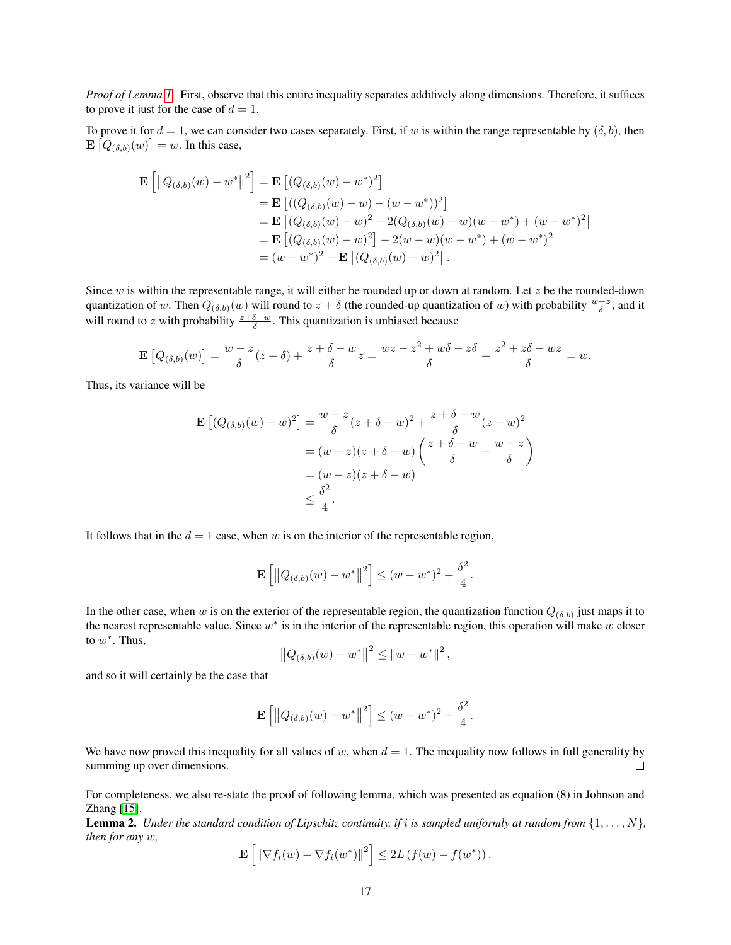*Proof of Lemma [1.](#page-15-1)* First, observe that this entire inequality separates additively along dimensions. Therefore, it suffices to prove it just for the case of  $d = 1$ .

To prove it for  $d = 1$ , we can consider two cases separately. First, if w is within the range representable by  $(\delta, b)$ , then  $\mathbf{E}\left[Q_{(\delta,b)}(w)\right] = w$ . In this case,

$$
\mathbf{E}\left[\left\|Q_{(\delta,b)}(w) - w^*\right\|^2\right] = \mathbf{E}\left[(Q_{(\delta,b)}(w) - w^*)^2\right] \n= \mathbf{E}\left[((Q_{(\delta,b)}(w) - w) - (w - w^*))^2\right] \n= \mathbf{E}\left[(Q_{(\delta,b)}(w) - w)^2 - 2(Q_{(\delta,b)}(w) - w)(w - w^*) + (w - w^*)^2\right] \n= \mathbf{E}\left[(Q_{(\delta,b)}(w) - w)^2\right] - 2(w - w)(w - w^*) + (w - w^*)^2 \n= (w - w^*)^2 + \mathbf{E}\left[(Q_{(\delta,b)}(w) - w)^2\right].
$$

Since w is within the representable range, it will either be rounded up or down at random. Let  $z$  be the rounded-down quantization of w. Then  $Q_{(\delta,b)}(w)$  will round to  $z+\delta$  (the rounded-up quantization of w) with probability  $\frac{w-z}{\delta}$ , and it will round to z with probability  $\frac{z+\delta-w}{\delta}$ . This quantization is unbiased because

$$
\mathbf{E}\left[Q_{(\delta,b)}(w)\right] = \frac{w-z}{\delta}(z+\delta) + \frac{z+\delta-w}{\delta}z = \frac{wz-z^2+w\delta-z\delta}{\delta} + \frac{z^2+z\delta-wz}{\delta} = w.
$$

Thus, its variance will be

$$
\mathbf{E}\left[ (Q_{(\delta,b)}(w) - w)^2 \right] = \frac{w - z}{\delta} (z + \delta - w)^2 + \frac{z + \delta - w}{\delta} (z - w)^2
$$

$$
= (w - z)(z + \delta - w) \left( \frac{z + \delta - w}{\delta} + \frac{w - z}{\delta} \right)
$$

$$
= (w - z)(z + \delta - w)
$$

$$
\leq \frac{\delta^2}{4}.
$$

It follows that in the  $d = 1$  case, when w is on the interior of the representable region,

$$
\mathbf{E}\left[\left\|Q_{(\delta,b)}(w) - w^*\right\|^2\right] \le (w - w^*)^2 + \frac{\delta^2}{4}.
$$

In the other case, when w is on the exterior of the representable region, the quantization function  $Q_{(\delta,b)}$  just maps it to the nearest representable value. Since  $w^*$  is in the interior of the representable region, this operation will make w closer to  $w^*$ . Thus,

$$
||Q_{(\delta,b)}(w) - w^*||^2 \le ||w - w^*||^2,
$$

and so it will certainly be the case that

$$
\mathbf{E}\left[\left\|Q_{(\delta,b)}(w) - w^*\right\|^2\right] \le (w - w^*)^2 + \frac{\delta^2}{4}.
$$

We have now proved this inequality for all values of w, when  $d = 1$ . The inequality now follows in full generality by summing up over dimensions.  $\Box$ 

For completeness, we also re-state the proof of following lemma, which was presented as equation (8) in Johnson and Zhang [\[15\]](#page-11-2).

<span id="page-16-0"></span>**Lemma 2.** *Under the standard condition of Lipschitz continuity, if i is sampled uniformly at random from*  $\{1, \ldots, N\}$ *, then for any* w*,*

$$
\mathbf{E}\left[\left\|\nabla f_i(w) - \nabla f_i(w^*)\right\|^2\right] \le 2L\left(f(w) - f(w^*)\right).
$$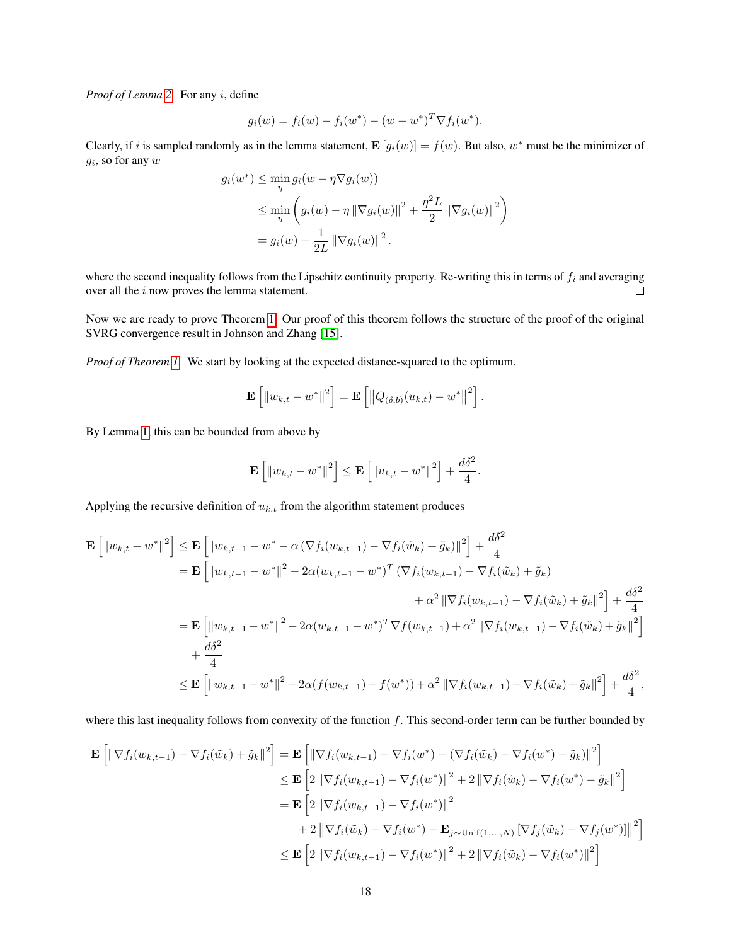*Proof of Lemma [2.](#page-16-0)* For any i, define

$$
g_i(w) = f_i(w) - f_i(w^*) - (w - w^*)^T \nabla f_i(w^*).
$$

Clearly, if i is sampled randomly as in the lemma statement,  $\mathbf{E}[g_i(w)] = f(w)$ . But also,  $w^*$  must be the minimizer of  $g_i$ , so for any  $w$ 

$$
g_i(w^*) \le \min_{\eta} g_i(w - \eta \nabla g_i(w))
$$
  
\n
$$
\le \min_{\eta} \left( g_i(w) - \eta \|\nabla g_i(w)\|^2 + \frac{\eta^2 L}{2} \|\nabla g_i(w)\|^2 \right)
$$
  
\n
$$
= g_i(w) - \frac{1}{2L} \|\nabla g_i(w)\|^2.
$$

where the second inequality follows from the Lipschitz continuity property. Re-writing this in terms of  $f_i$  and averaging over all the i now proves the lemma statement.  $\Box$ 

Now we are ready to prove Theorem [1.](#page-4-2) Our proof of this theorem follows the structure of the proof of the original SVRG convergence result in Johnson and Zhang [\[15\]](#page-11-2).

*Proof of Theorem [1.](#page-4-2)* We start by looking at the expected distance-squared to the optimum.

$$
\mathbf{E}\left[\|w_{k,t} - w^*\|^2\right] = \mathbf{E}\left[\left\|Q_{(\delta,b)}(u_{k,t}) - w^*\right\|^2\right].
$$

By Lemma [1,](#page-15-1) this can be bounded from above by

$$
\mathbf{E}\left[\left\|w_{k,t}-w^*\right\|^2\right] \leq \mathbf{E}\left[\left\|u_{k,t}-w^*\right\|^2\right] + \frac{d\delta^2}{4}.
$$

Applying the recursive definition of  $u_{k,t}$  from the algorithm statement produces

$$
\mathbf{E} \left[ \left\| w_{k,t} - w^* \right\|^2 \right] \leq \mathbf{E} \left[ \left\| w_{k,t-1} - w^* - \alpha \left( \nabla f_i(w_{k,t-1}) - \nabla f_i(\tilde{w}_k) + \tilde{g}_k \right) \right\|^2 \right] + \frac{d\delta^2}{4}
$$
\n
$$
= \mathbf{E} \left[ \left\| w_{k,t-1} - w^* \right\|^2 - 2\alpha (w_{k,t-1} - w^*)^T \left( \nabla f_i(w_{k,t-1}) - \nabla f_i(\tilde{w}_k) + \tilde{g}_k \right) \right. \\
\left. + \alpha^2 \left\| \nabla f_i(w_{k,t-1}) - \nabla f_i(\tilde{w}_k) + \tilde{g}_k \right\|^2 \right] + \frac{d\delta^2}{4}
$$
\n
$$
= \mathbf{E} \left[ \left\| w_{k,t-1} - w^* \right\|^2 - 2\alpha (w_{k,t-1} - w^*)^T \nabla f(w_{k,t-1}) + \alpha^2 \left\| \nabla f_i(w_{k,t-1}) - \nabla f_i(\tilde{w}_k) + \tilde{g}_k \right\|^2 \right]
$$
\n
$$
+ \frac{d\delta^2}{4}
$$
\n
$$
\leq \mathbf{E} \left[ \left\| w_{k,t-1} - w^* \right\|^2 - 2\alpha (f(w_{k,t-1}) - f(w^*)) + \alpha^2 \left\| \nabla f_i(w_{k,t-1}) - \nabla f_i(\tilde{w}_k) + \tilde{g}_k \right\|^2 \right] + \frac{d\delta^2}{4},
$$

where this last inequality follows from convexity of the function f. This second-order term can be further bounded by

$$
\mathbf{E} \left[ \left\| \nabla f_i(w_{k,t-1}) - \nabla f_i(\tilde{w}_k) + \tilde{g}_k \right\|^2 \right] = \mathbf{E} \left[ \left\| \nabla f_i(w_{k,t-1}) - \nabla f_i(w^*) - (\nabla f_i(\tilde{w}_k) - \nabla f_i(w^*) - \tilde{g}_k) \right\|^2 \right]
$$
  
\n
$$
\leq \mathbf{E} \left[ 2 \left\| \nabla f_i(w_{k,t-1}) - \nabla f_i(w^*) \right\|^2 + 2 \left\| \nabla f_i(\tilde{w}_k) - \nabla f_i(w^*) - \tilde{g}_k \right\|^2 \right]
$$
  
\n
$$
= \mathbf{E} \left[ 2 \left\| \nabla f_i(w_{k,t-1}) - \nabla f_i(w^*) \right\|^2
$$
  
\n
$$
+ 2 \left\| \nabla f_i(\tilde{w}_k) - \nabla f_i(w^*) - \mathbf{E}_{j \sim \text{Unif}(1,...,N)} \left[ \nabla f_j(\tilde{w}_k) - \nabla f_j(w^*) \right] \right\|^2 \right]
$$
  
\n
$$
\leq \mathbf{E} \left[ 2 \left\| \nabla f_i(w_{k,t-1}) - \nabla f_i(w^*) \right\|^2 + 2 \left\| \nabla f_i(\tilde{w}_k) - \nabla f_i(w^*) \right\|^2 \right]
$$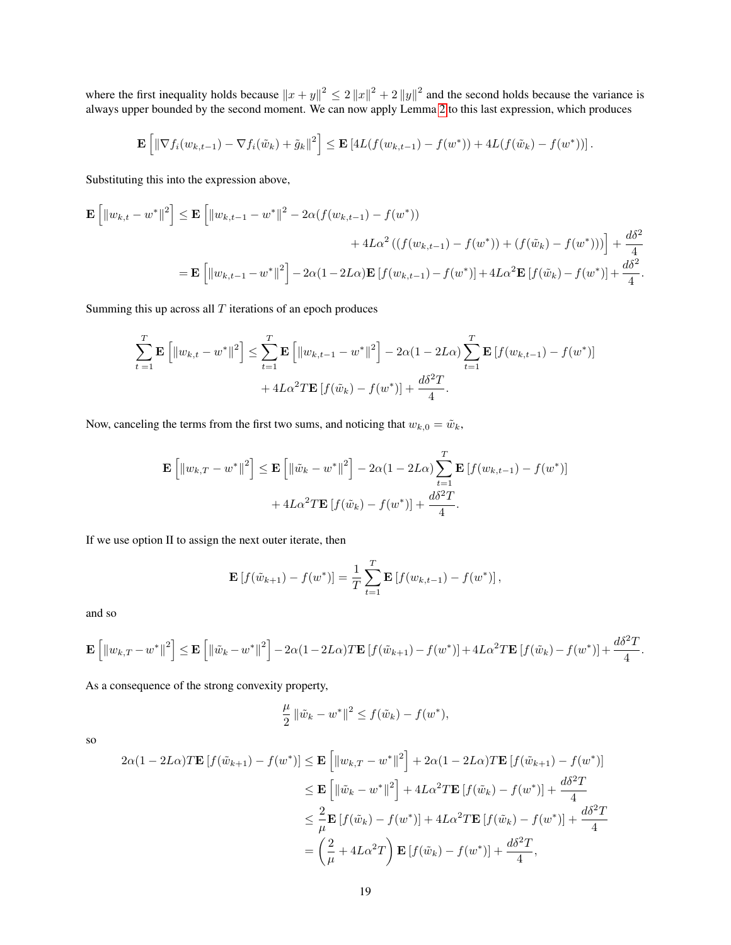where the first inequality holds because  $||x + y||^2 \le 2 ||x||^2 + 2 ||y||^2$  and the second holds because the variance is always upper bounded by the second moment. We can now apply Lemma [2](#page-16-0) to this last expression, which produces

$$
\mathbf{E}\left[\left\|\nabla f_i(w_{k,t-1})-\nabla f_i(\tilde{w}_k)+\tilde{g}_k\right\|^2\right] \leq \mathbf{E}\left[4L(f(w_{k,t-1})-f(w^*))+4L(f(\tilde{w}_k)-f(w^*))\right].
$$

Substituting this into the expression above,

$$
\mathbf{E} \left[ \| w_{k,t} - w^* \|^2 \right] \le \mathbf{E} \left[ \| w_{k,t-1} - w^* \|^2 - 2\alpha (f(w_{k,t-1}) - f(w^*)) \right. \\
 \left. + 4L\alpha^2 \left( (f(w_{k,t-1}) - f(w^*)) + (f(\tilde{w}_k) - f(w^*)) \right) \right] + \frac{d\delta^2}{4} \\
= \mathbf{E} \left[ \| w_{k,t-1} - w^* \|^2 \right] - 2\alpha (1 - 2L\alpha) \mathbf{E} \left[ f(w_{k,t-1}) - f(w^*) \right] + 4L\alpha^2 \mathbf{E} \left[ f(\tilde{w}_k) - f(w^*) \right] + \frac{d\delta^2}{4}.
$$

Summing this up across all  $T$  iterations of an epoch produces

$$
\sum_{t=1}^{T} \mathbf{E} \left[ \| w_{k,t} - w^* \|^2 \right] \le \sum_{t=1}^{T} \mathbf{E} \left[ \| w_{k,t-1} - w^* \|^2 \right] - 2\alpha (1 - 2L\alpha) \sum_{t=1}^{T} \mathbf{E} \left[ f(w_{k,t-1}) - f(w^*) \right] + 4L\alpha^2 T \mathbf{E} \left[ f(\tilde{w}_k) - f(w^*) \right] + \frac{d\delta^2 T}{4}.
$$

Now, canceling the terms from the first two sums, and noticing that  $w_{k,0} = \tilde{w}_k$ ,

$$
\mathbf{E}\left[\left\|w_{k,T} - w^*\right\|^2\right] \le \mathbf{E}\left[\left\|\tilde{w}_k - w^*\right\|^2\right] - 2\alpha(1 - 2L\alpha)\sum_{t=1}^T \mathbf{E}\left[f(w_{k,t-1}) - f(w^*)\right] + 4L\alpha^2 T \mathbf{E}\left[f(\tilde{w}_k) - f(w^*)\right] + \frac{d\delta^2 T}{4}.
$$

If we use option II to assign the next outer iterate, then

$$
\mathbf{E}[f(\tilde{w}_{k+1}) - f(w^*)] = \frac{1}{T} \sum_{t=1}^T \mathbf{E}[f(w_{k,t-1}) - f(w^*)],
$$

and so

$$
\mathbf{E}\left[\left\|w_{k,T}-w^*\right\|^2\right] \leq \mathbf{E}\left[\left\|\tilde{w}_k-w^*\right\|^2\right] - 2\alpha(1-2L\alpha)T\mathbf{E}\left[f(\tilde{w}_{k+1})-f(w^*)\right] + 4L\alpha^2T\mathbf{E}\left[f(\tilde{w}_k)-f(w^*)\right] + \frac{d\delta^2T}{4}.
$$

As a consequence of the strong convexity property,

$$
\frac{\mu}{2} ||\tilde{w}_k - w^*||^2 \le f(\tilde{w}_k) - f(w^*),
$$

so

$$
2\alpha (1 - 2L\alpha) T \mathbf{E} [f(\tilde{w}_{k+1}) - f(w^*)] \leq \mathbf{E} \left[ \left\| w_{k,T} - w^* \right\|^2 \right] + 2\alpha (1 - 2L\alpha) T \mathbf{E} [f(\tilde{w}_{k+1}) - f(w^*)]
$$
  
\n
$$
\leq \mathbf{E} \left[ \left\| \tilde{w}_k - w^* \right\|^2 \right] + 4L\alpha^2 T \mathbf{E} [f(\tilde{w}_k) - f(w^*)] + \frac{d\delta^2 T}{4}
$$
  
\n
$$
\leq \frac{2}{\mu} \mathbf{E} [f(\tilde{w}_k) - f(w^*)] + 4L\alpha^2 T \mathbf{E} [f(\tilde{w}_k) - f(w^*)] + \frac{d\delta^2 T}{4}
$$
  
\n
$$
= \left( \frac{2}{\mu} + 4L\alpha^2 T \right) \mathbf{E} [f(\tilde{w}_k) - f(w^*)] + \frac{d\delta^2 T}{4},
$$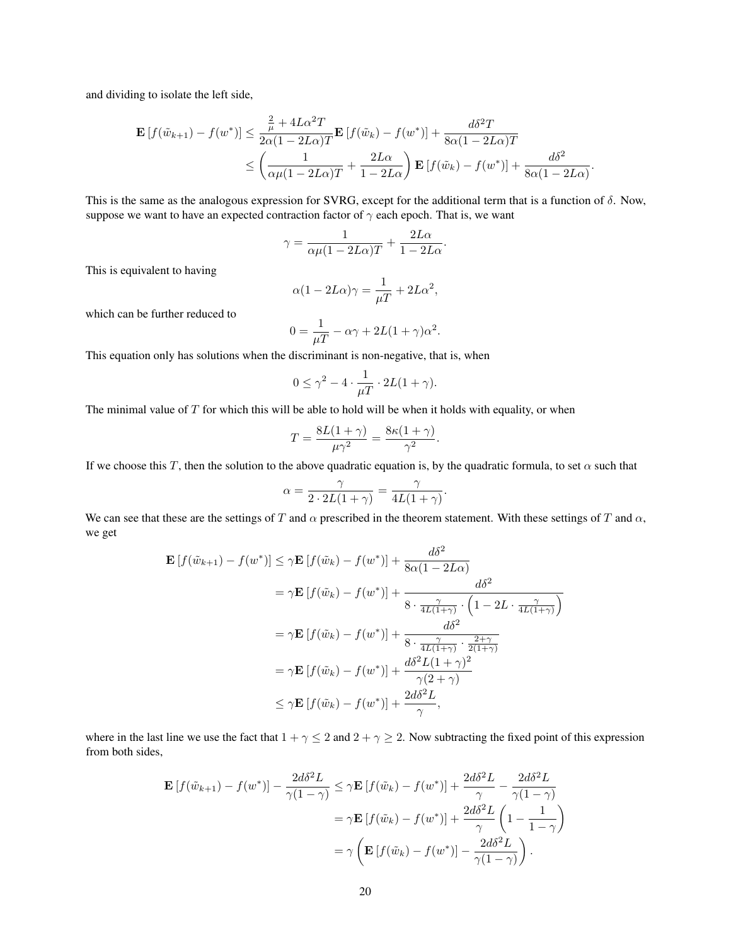and dividing to isolate the left side,

$$
\mathbf{E}\left[f(\tilde{w}_{k+1}) - f(w^*)\right] \le \frac{\frac{2}{\mu} + 4L\alpha^2 T}{2\alpha(1 - 2L\alpha)T} \mathbf{E}\left[f(\tilde{w}_k) - f(w^*)\right] + \frac{d\delta^2 T}{8\alpha(1 - 2L\alpha)T}
$$

$$
\le \left(\frac{1}{\alpha\mu(1 - 2L\alpha)T} + \frac{2L\alpha}{1 - 2L\alpha}\right) \mathbf{E}\left[f(\tilde{w}_k) - f(w^*)\right] + \frac{d\delta^2}{8\alpha(1 - 2L\alpha)}
$$

.

This is the same as the analogous expression for SVRG, except for the additional term that is a function of  $\delta$ . Now, suppose we want to have an expected contraction factor of  $\gamma$  each epoch. That is, we want

$$
\gamma = \frac{1}{\alpha \mu (1 - 2L\alpha)T} + \frac{2L\alpha}{1 - 2L\alpha}
$$

.

This is equivalent to having

$$
\alpha(1 - 2L\alpha)\gamma = \frac{1}{\mu T} + 2L\alpha^2,
$$

which can be further reduced to

$$
0 = \frac{1}{\mu T} - \alpha \gamma + 2L(1 + \gamma)\alpha^2.
$$

This equation only has solutions when the discriminant is non-negative, that is, when

$$
0 \leq \gamma^2 - 4 \cdot \frac{1}{\mu T} \cdot 2L(1+\gamma).
$$

The minimal value of  $T$  for which this will be able to hold will be when it holds with equality, or when

$$
T = \frac{8L(1+\gamma)}{\mu\gamma^2} = \frac{8\kappa(1+\gamma)}{\gamma^2}.
$$

If we choose this T, then the solution to the above quadratic equation is, by the quadratic formula, to set  $\alpha$  such that

$$
\alpha = \frac{\gamma}{2 \cdot 2L(1+\gamma)} = \frac{\gamma}{4L(1+\gamma)}.
$$

We can see that these are the settings of T and  $\alpha$  prescribed in the theorem statement. With these settings of T and  $\alpha$ , we get

$$
\mathbf{E}\left[f(\tilde{w}_{k+1}) - f(w^*)\right] \leq \gamma \mathbf{E}\left[f(\tilde{w}_k) - f(w^*)\right] + \frac{d\delta^2}{8\alpha(1 - 2L\alpha)}
$$
\n
$$
= \gamma \mathbf{E}\left[f(\tilde{w}_k) - f(w^*)\right] + \frac{d\delta^2}{8 \cdot \frac{\gamma}{4L(1+\gamma)} \cdot \left(1 - 2L \cdot \frac{\gamma}{4L(1+\gamma)}\right)}
$$
\n
$$
= \gamma \mathbf{E}\left[f(\tilde{w}_k) - f(w^*)\right] + \frac{d\delta^2}{8 \cdot \frac{\gamma}{4L(1+\gamma)} \cdot \frac{2+\gamma}{2(1+\gamma)}}
$$
\n
$$
= \gamma \mathbf{E}\left[f(\tilde{w}_k) - f(w^*)\right] + \frac{d\delta^2 L(1+\gamma)^2}{\gamma(2+\gamma)}
$$
\n
$$
\leq \gamma \mathbf{E}\left[f(\tilde{w}_k) - f(w^*)\right] + \frac{2d\delta^2 L}{\gamma},
$$

where in the last line we use the fact that  $1 + \gamma \leq 2$  and  $2 + \gamma \geq 2$ . Now subtracting the fixed point of this expression from both sides,

$$
\mathbf{E}\left[f(\tilde{w}_{k+1}) - f(w^*)\right] - \frac{2d\delta^2 L}{\gamma(1-\gamma)} \leq \gamma \mathbf{E}\left[f(\tilde{w}_k) - f(w^*)\right] + \frac{2d\delta^2 L}{\gamma} - \frac{2d\delta^2 L}{\gamma(1-\gamma)}
$$

$$
= \gamma \mathbf{E}\left[f(\tilde{w}_k) - f(w^*)\right] + \frac{2d\delta^2 L}{\gamma} \left(1 - \frac{1}{1-\gamma}\right)
$$

$$
= \gamma \left(\mathbf{E}\left[f(\tilde{w}_k) - f(w^*)\right] - \frac{2d\delta^2 L}{\gamma(1-\gamma)}\right).
$$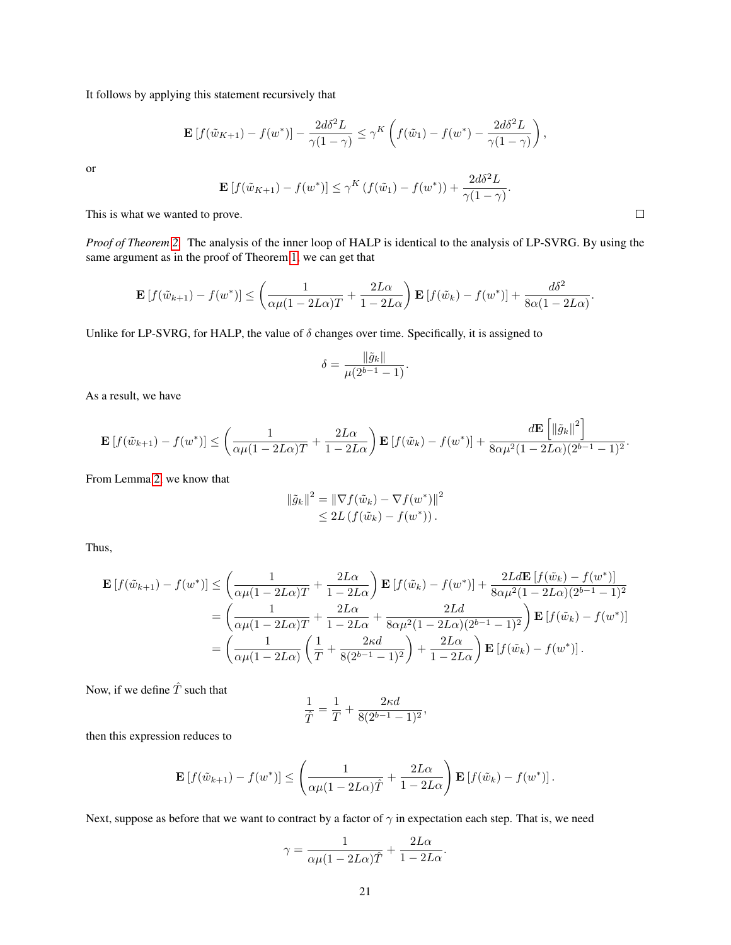It follows by applying this statement recursively that

$$
\mathbf{E}\left[f(\tilde{w}_{K+1}) - f(w^*)\right] - \frac{2d\delta^2 L}{\gamma(1-\gamma)} \leq \gamma^K \left(f(\tilde{w}_1) - f(w^*) - \frac{2d\delta^2 L}{\gamma(1-\gamma)}\right),
$$

or

$$
\mathbf{E}\left[f(\tilde{w}_{K+1}) - f(w^*)\right] \le \gamma^K \left(f(\tilde{w}_1) - f(w^*)\right) + \frac{2d\delta^2 L}{\gamma(1-\gamma)}
$$

This is what we wanted to prove.

*Proof of Theorem [2.](#page-6-1)* The analysis of the inner loop of HALP is identical to the analysis of LP-SVRG. By using the same argument as in the proof of Theorem [1,](#page-4-2) we can get that

$$
\mathbf{E}\left[f(\tilde{w}_{k+1}) - f(w^*)\right] \leq \left(\frac{1}{\alpha\mu(1 - 2L\alpha)T} + \frac{2L\alpha}{1 - 2L\alpha}\right)\mathbf{E}\left[f(\tilde{w}_k) - f(w^*)\right] + \frac{d\delta^2}{8\alpha(1 - 2L\alpha)}.
$$

Unlike for LP-SVRG, for HALP, the value of  $\delta$  changes over time. Specifically, it is assigned to

$$
\delta = \frac{\|\tilde{g}_k\|}{\mu(2^{b-1} - 1)}.
$$

As a result, we have

$$
\mathbf{E}\left[f(\tilde{w}_{k+1})-f(w^*)\right] \leq \left(\frac{1}{\alpha\mu(1-2L\alpha)T}+\frac{2L\alpha}{1-2L\alpha}\right)\mathbf{E}\left[f(\tilde{w}_k)-f(w^*)\right]+\frac{d\mathbf{E}\left[\left\|\tilde{g}_k\right\|^2\right]}{8\alpha\mu^2(1-2L\alpha)(2^{b-1}-1)^2}.
$$

From Lemma [2,](#page-16-0) we know that

$$
\|\tilde{g}_k\|^2 = \|\nabla f(\tilde{w}_k) - \nabla f(w^*)\|^2
$$
  
\n
$$
\leq 2L \left( f(\tilde{w}_k) - f(w^*) \right).
$$

Thus,

$$
\mathbf{E}\left[f(\tilde{w}_{k+1}) - f(w^*)\right] \leq \left(\frac{1}{\alpha\mu(1 - 2L\alpha)T} + \frac{2L\alpha}{1 - 2L\alpha}\right) \mathbf{E}\left[f(\tilde{w}_k) - f(w^*)\right] + \frac{2Ld\mathbf{E}\left[f(\tilde{w}_k) - f(w^*)\right]}{8\alpha\mu^2(1 - 2L\alpha)(2^{b-1} - 1)^2}
$$
\n
$$
= \left(\frac{1}{\alpha\mu(1 - 2L\alpha)T} + \frac{2L\alpha}{1 - 2L\alpha} + \frac{2Ld}{8\alpha\mu^2(1 - 2L\alpha)(2^{b-1} - 1)^2}\right) \mathbf{E}\left[f(\tilde{w}_k) - f(w^*)\right]
$$
\n
$$
= \left(\frac{1}{\alpha\mu(1 - 2L\alpha)}\left(\frac{1}{T} + \frac{2\kappa d}{8(2^{b-1} - 1)^2}\right) + \frac{2L\alpha}{1 - 2L\alpha}\right) \mathbf{E}\left[f(\tilde{w}_k) - f(w^*)\right].
$$

Now, if we define  $\hat{T}$  such that

$$
\frac{1}{\hat{T}} = \frac{1}{T} + \frac{2\kappa d}{8(2^{b-1} - 1)^2},
$$

then this expression reduces to

$$
\mathbf{E}\left[f(\tilde{w}_{k+1}) - f(w^*)\right] \leq \left(\frac{1}{\alpha\mu(1 - 2L\alpha)\hat{T}} + \frac{2L\alpha}{1 - 2L\alpha}\right)\mathbf{E}\left[f(\tilde{w}_k) - f(w^*)\right].
$$

Next, suppose as before that we want to contract by a factor of  $\gamma$  in expectation each step. That is, we need

$$
\gamma = \frac{1}{\alpha \mu (1 - 2L\alpha)\hat{T}} + \frac{2L\alpha}{1 - 2L\alpha}.
$$

 $\Box$ 

.

h